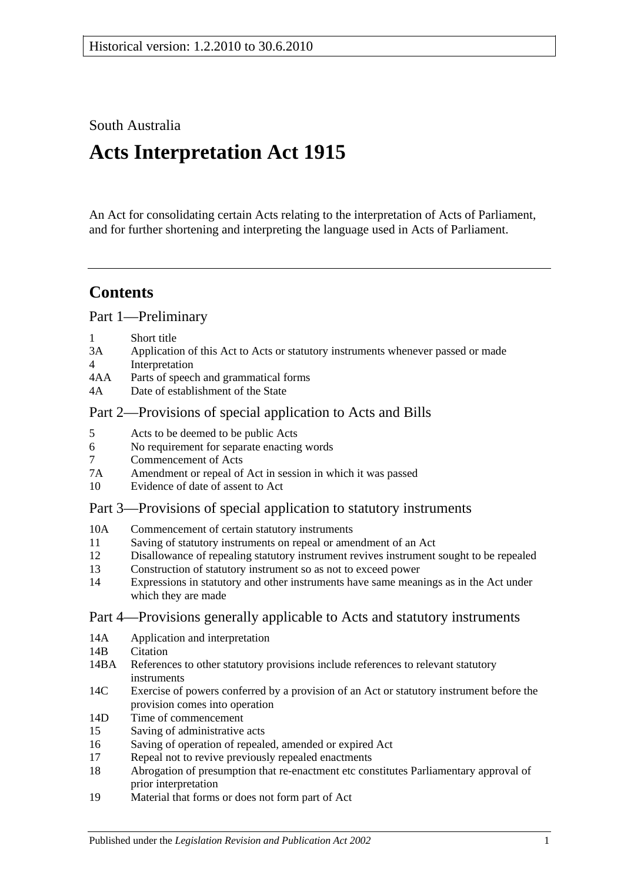South Australia

# **Acts Interpretation Act 1915**

An Act for consolidating certain Acts relating to the interpretation of Acts of Parliament, and for further shortening and interpreting the language used in Acts of Parliament.

## **Contents**

[Part 1—Preliminary](#page-1-0)

- 1 [Short title](#page-1-1)
- 3A [Application of this Act to Acts or statutory instruments whenever passed or made](#page-1-2)
- 4 [Interpretation](#page-2-0)
- 4AA [Parts of speech and grammatical forms](#page-6-0)
- 4A [Date of establishment of the State](#page-6-1)

#### [Part 2—Provisions of special application to Acts and Bills](#page-6-2)

- 5 [Acts to be deemed to be public Acts](#page-6-3)
- 6 [No requirement for separate enacting words](#page-6-4)
- 7 [Commencement of Acts](#page-6-5)
- 7A [Amendment or repeal of Act in session in which it was passed](#page-7-0)
- 10 [Evidence of date of assent to Act](#page-7-1)

### [Part 3—Provisions of special application to statutory instruments](#page-7-2)

- 10A [Commencement of certain statutory instruments](#page-7-3)
- 11 [Saving of statutory instruments on repeal or amendment of an Act](#page-7-4)
- 12 [Disallowance of repealing statutory instrument revives instrument sought to](#page-8-0) be repealed
- 13 [Construction of statutory instrument so as not to exceed power](#page-8-1)
- 14 [Expressions in statutory and other instruments have same meanings as in the Act under](#page-8-2)  [which they are made](#page-8-2)

### [Part 4—Provisions generally applicable to Acts and statutory instruments](#page-8-3)

- 14A [Application and interpretation](#page-8-4)
- 14R [Citation](#page-8-5)
- 14BA [References to other statutory provisions include references to relevant statutory](#page-9-0)  [instruments](#page-9-0)
- 14C [Exercise of powers conferred by a provision of an Act or statutory instrument before the](#page-9-1)  [provision comes into operation](#page-9-1)
- 14D [Time of commencement](#page-10-0)
- 15 [Saving of administrative acts](#page-10-1)
- 16 [Saving of operation of repealed, amended or expired Act](#page-10-2)
- 17 [Repeal not to revive previously repealed enactments](#page-11-0)
- 18 [Abrogation of presumption that re-enactment etc constitutes Parliamentary approval of](#page-11-1)  [prior interpretation](#page-11-1)
- 19 [Material that forms or does not form part of Act](#page-11-2)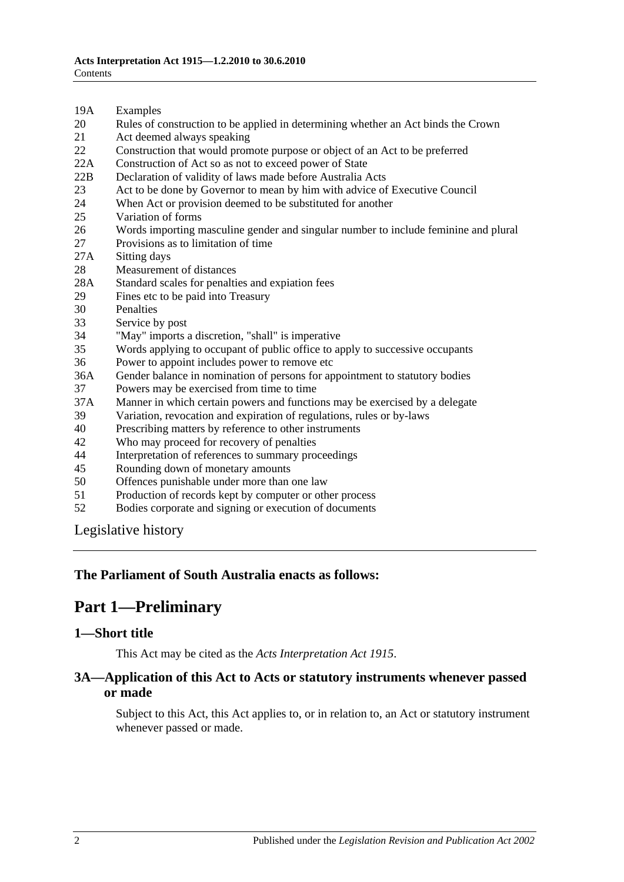- 19A [Examples](#page-12-0)
- 20 [Rules of construction to be applied in determining whether an Act binds the Crown](#page-12-1)
- 21 [Act deemed always speaking](#page-12-2)
- 22 [Construction that would promote purpose or object of an Act to be preferred](#page-13-0)
- 22A [Construction of Act so as not to exceed power of State](#page-13-1)
- 22B [Declaration of validity of laws made before Australia Acts](#page-13-2)
- 23 [Act to be done by Governor to mean by him with advice of Executive Council](#page-13-3)
- 24 [When Act or provision deemed to be substituted for another](#page-13-4)<br>25 Variation of forms
- [Variation of forms](#page-13-5)
- 26 [Words importing masculine gender and singular number to include feminine and plural](#page-14-0)
- 27 [Provisions as to limitation of time](#page-14-1)
- 27A [Sitting days](#page-14-2)
- 28 [Measurement of distances](#page-14-3)
- 28A [Standard scales for penalties and expiation fees](#page-15-0)
- 29 [Fines etc to be paid into Treasury](#page-15-1)
- 
- 30 [Penalties](#page-16-0)<br>33 Service b [Service by post](#page-16-1)
- 34 ["May" imports a discretion, "shall" is imperative](#page-16-2)
- 35 [Words applying to occupant of public office to apply to successive occupants](#page-16-3)
- 36 [Power to appoint includes power to remove etc](#page-16-4)
- 36A [Gender balance in nomination of persons for appointment to statutory bodies](#page-17-0)
- 37 [Powers may be exercised from time to time](#page-17-1)
- 37A [Manner in which certain powers and functions may be exercised by a delegate](#page-18-0)
- 39 [Variation, revocation and expiration of regulations, rules or by-laws](#page-18-1)
- 40 [Prescribing matters by reference to other instruments](#page-18-2)
- 42 [Who may proceed for recovery of penalties](#page-18-3)
- 44 [Interpretation of references to summary proceedings](#page-18-4)
- 45 [Rounding down of monetary amounts](#page-19-0)
- 50 [Offences punishable under more than one law](#page-19-1)
- 51 [Production of records kept by computer or other process](#page-19-2)
- 52 [Bodies corporate and signing or execution of documents](#page-19-3)

[Legislative history](#page-20-0)

#### <span id="page-1-0"></span>**The Parliament of South Australia enacts as follows:**

## **Part 1—Preliminary**

#### <span id="page-1-1"></span>**1—Short title**

This Act may be cited as the *Acts Interpretation Act 1915*.

#### <span id="page-1-2"></span>**3A—Application of this Act to Acts or statutory instruments whenever passed or made**

Subject to this Act, this Act applies to, or in relation to, an Act or statutory instrument whenever passed or made.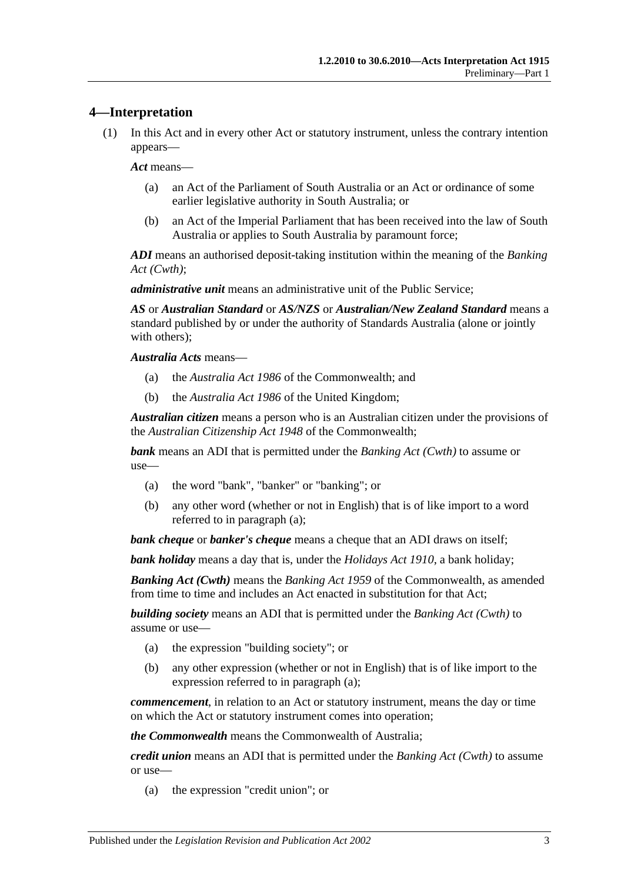#### <span id="page-2-0"></span>**4—Interpretation**

(1) In this Act and in every other Act or statutory instrument, unless the contrary intention appears—

*Act* means—

- (a) an Act of the Parliament of South Australia or an Act or ordinance of some earlier legislative authority in South Australia; or
- (b) an Act of the Imperial Parliament that has been received into the law of South Australia or applies to South Australia by paramount force;

*ADI* means an authorised deposit-taking institution within the meaning of the *Banking Act (Cwth)*;

*administrative unit* means an administrative unit of the Public Service;

*AS* or *Australian Standard* or *AS/NZS* or *Australian/New Zealand Standard* means a standard published by or under the authority of Standards Australia (alone or jointly with others);

*Australia Acts* means—

- (a) the *Australia Act 1986* of the Commonwealth; and
- (b) the *Australia Act 1986* of the United Kingdom;

*Australian citizen* means a person who is an Australian citizen under the provisions of the *Australian Citizenship Act 1948* of the Commonwealth;

<span id="page-2-1"></span>*bank* means an ADI that is permitted under the *Banking Act (Cwth)* to assume or use—

- (a) the word "bank", "banker" or "banking"; or
- (b) any other word (whether or not in English) that is of like import to a word referred to in [paragraph](#page-2-1) (a);

*bank cheque* or *banker's cheque* means a cheque that an ADI draws on itself;

*bank holiday* means a day that is, under the *[Holidays Act](http://www.legislation.sa.gov.au/index.aspx?action=legref&type=act&legtitle=Holidays%20Act%201910) 1910*, a bank holiday;

*Banking Act (Cwth)* means the *Banking Act 1959* of the Commonwealth, as amended from time to time and includes an Act enacted in substitution for that Act;

<span id="page-2-2"></span>*building society* means an ADI that is permitted under the *Banking Act (Cwth)* to assume or use—

- (a) the expression "building society"; or
- (b) any other expression (whether or not in English) that is of like import to the expression referred to in [paragraph](#page-2-2) (a);

*commencement*, in relation to an Act or statutory instrument, means the day or time on which the Act or statutory instrument comes into operation;

*the Commonwealth* means the Commonwealth of Australia;

<span id="page-2-3"></span>*credit union* means an ADI that is permitted under the *Banking Act (Cwth)* to assume or use—

(a) the expression "credit union"; or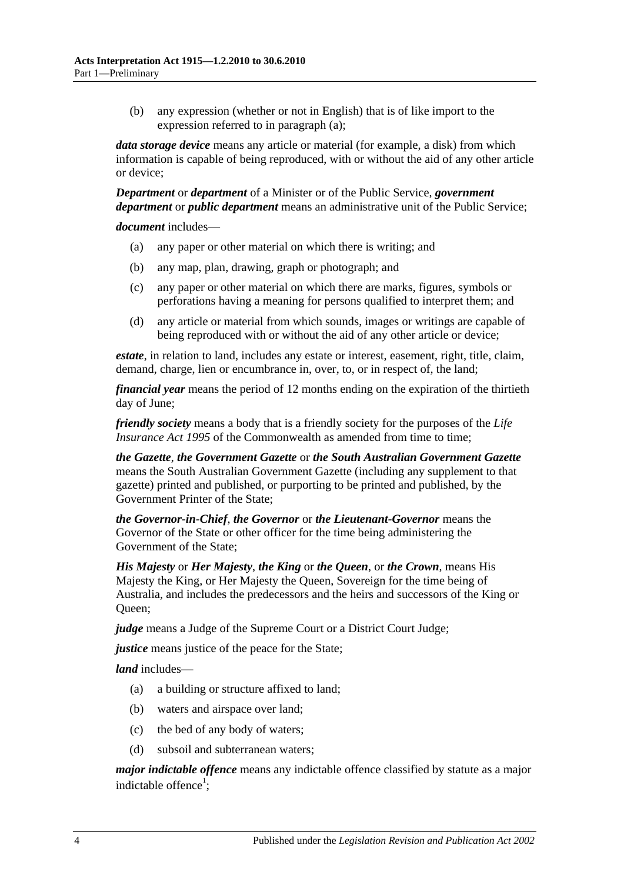(b) any expression (whether or not in English) that is of like import to the expression referred to in [paragraph](#page-2-3) (a);

*data storage device* means any article or material (for example, a disk) from which information is capable of being reproduced, with or without the aid of any other article or device;

*Department* or *department* of a Minister or of the Public Service, *government department* or *public department* means an administrative unit of the Public Service;

*document* includes—

- (a) any paper or other material on which there is writing; and
- (b) any map, plan, drawing, graph or photograph; and
- (c) any paper or other material on which there are marks, figures, symbols or perforations having a meaning for persons qualified to interpret them; and
- (d) any article or material from which sounds, images or writings are capable of being reproduced with or without the aid of any other article or device;

*estate*, in relation to land, includes any estate or interest, easement, right, title, claim, demand, charge, lien or encumbrance in, over, to, or in respect of, the land;

*financial year* means the period of 12 months ending on the expiration of the thirtieth day of June;

*friendly society* means a body that is a friendly society for the purposes of the *Life Insurance Act* 1995 of the Commonwealth as amended from time to time:

*the Gazette*, *the Government Gazette* or *the South Australian Government Gazette* means the South Australian Government Gazette (including any supplement to that gazette) printed and published, or purporting to be printed and published, by the Government Printer of the State;

*the Governor-in-Chief*, *the Governor* or *the Lieutenant-Governor* means the Governor of the State or other officer for the time being administering the Government of the State;

*His Majesty* or *Her Majesty*, *the King* or *the Queen*, or *the Crown*, means His Majesty the King, or Her Majesty the Queen, Sovereign for the time being of Australia, and includes the predecessors and the heirs and successors of the King or Queen;

*judge* means a Judge of the Supreme Court or a District Court Judge;

*justice* means justice of the peace for the State;

*land* includes—

- (a) a building or structure affixed to land;
- (b) waters and airspace over land;
- (c) the bed of any body of waters;
- (d) subsoil and subterranean waters;

*major indictable offence* means any indictable offence classified by statute as a major indictable offence<sup>1</sup>;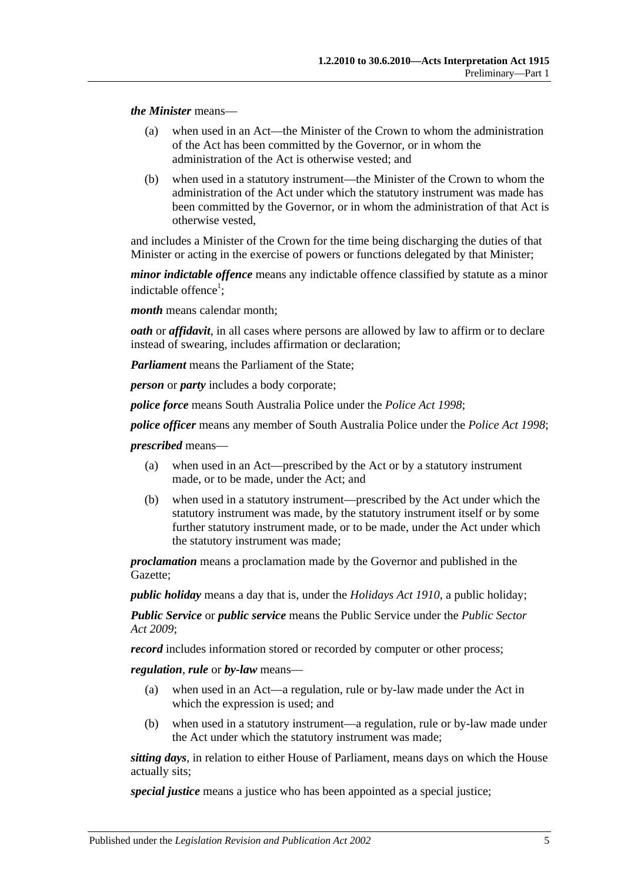*the Minister* means—

- (a) when used in an Act—the Minister of the Crown to whom the administration of the Act has been committed by the Governor, or in whom the administration of the Act is otherwise vested; and
- (b) when used in a statutory instrument—the Minister of the Crown to whom the administration of the Act under which the statutory instrument was made has been committed by the Governor, or in whom the administration of that Act is otherwise vested,

and includes a Minister of the Crown for the time being discharging the duties of that Minister or acting in the exercise of powers or functions delegated by that Minister;

*minor indictable offence* means any indictable offence classified by statute as a minor indictable offence<sup>1</sup>;

*month* means calendar month;

*oath* or *affidavit*, in all cases where persons are allowed by law to affirm or to declare instead of swearing, includes affirmation or declaration;

*Parliament* means the Parliament of the State;

*person* or *party* includes a body corporate;

*police force* means South Australia Police under the *[Police Act](http://www.legislation.sa.gov.au/index.aspx?action=legref&type=act&legtitle=Police%20Act%201998) 1998*;

*police officer* means any member of South Australia Police under the *[Police Act](http://www.legislation.sa.gov.au/index.aspx?action=legref&type=act&legtitle=Police%20Act%201998) 1998*;

*prescribed* means—

- (a) when used in an Act—prescribed by the Act or by a statutory instrument made, or to be made, under the Act; and
- (b) when used in a statutory instrument—prescribed by the Act under which the statutory instrument was made, by the statutory instrument itself or by some further statutory instrument made, or to be made, under the Act under which the statutory instrument was made;

*proclamation* means a proclamation made by the Governor and published in the Gazette;

*public holiday* means a day that is, under the *[Holidays Act](http://www.legislation.sa.gov.au/index.aspx?action=legref&type=act&legtitle=Holidays%20Act%201910) 1910*, a public holiday;

*Public Service* or *public service* means the Public Service under the *[Public Sector](http://www.legislation.sa.gov.au/index.aspx?action=legref&type=act&legtitle=Public%20Sector%20Act%202009)  Act [2009](http://www.legislation.sa.gov.au/index.aspx?action=legref&type=act&legtitle=Public%20Sector%20Act%202009)*;

*record* includes information stored or recorded by computer or other process;

*regulation*, *rule* or *by-law* means—

- (a) when used in an Act—a regulation, rule or by-law made under the Act in which the expression is used; and
- (b) when used in a statutory instrument—a regulation, rule or by-law made under the Act under which the statutory instrument was made;

*sitting days*, in relation to either House of Parliament, means days on which the House actually sits;

*special justice* means a justice who has been appointed as a special justice;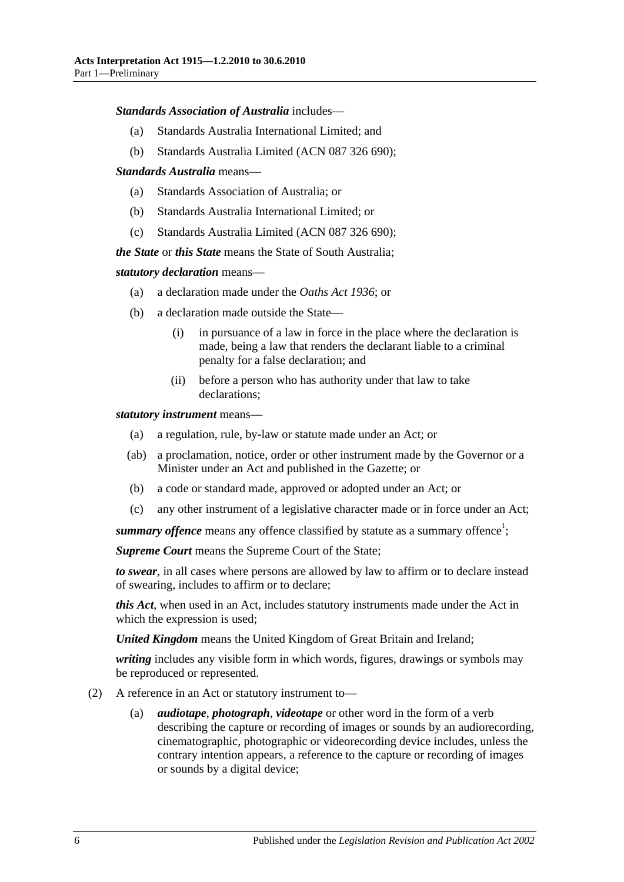#### *Standards Association of Australia* includes—

- (a) Standards Australia International Limited; and
- (b) Standards Australia Limited (ACN 087 326 690);

#### *Standards Australia* means—

- (a) Standards Association of Australia; or
- (b) Standards Australia International Limited; or
- (c) Standards Australia Limited (ACN 087 326 690);

*the State* or *this State* means the State of South Australia;

#### *statutory declaration* means—

- (a) a declaration made under the *[Oaths Act](http://www.legislation.sa.gov.au/index.aspx?action=legref&type=act&legtitle=Oaths%20Act%201936) 1936*; or
- (b) a declaration made outside the State—
	- (i) in pursuance of a law in force in the place where the declaration is made, being a law that renders the declarant liable to a criminal penalty for a false declaration; and
	- (ii) before a person who has authority under that law to take declarations;

#### *statutory instrument* means—

- (a) a regulation, rule, by-law or statute made under an Act; or
- (ab) a proclamation, notice, order or other instrument made by the Governor or a Minister under an Act and published in the Gazette; or
- (b) a code or standard made, approved or adopted under an Act; or
- (c) any other instrument of a legislative character made or in force under an Act;

summary offence means any offence classified by statute as a summary offence<sup>1</sup>;

*Supreme Court* means the Supreme Court of the State;

*to swear*, in all cases where persons are allowed by law to affirm or to declare instead of swearing, includes to affirm or to declare;

*this Act*, when used in an Act, includes statutory instruments made under the Act in which the expression is used;

*United Kingdom* means the United Kingdom of Great Britain and Ireland;

*writing* includes any visible form in which words, figures, drawings or symbols may be reproduced or represented.

- (2) A reference in an Act or statutory instrument to—
	- (a) *audiotape*, *photograph*, *videotape* or other word in the form of a verb describing the capture or recording of images or sounds by an audiorecording, cinematographic, photographic or videorecording device includes, unless the contrary intention appears, a reference to the capture or recording of images or sounds by a digital device;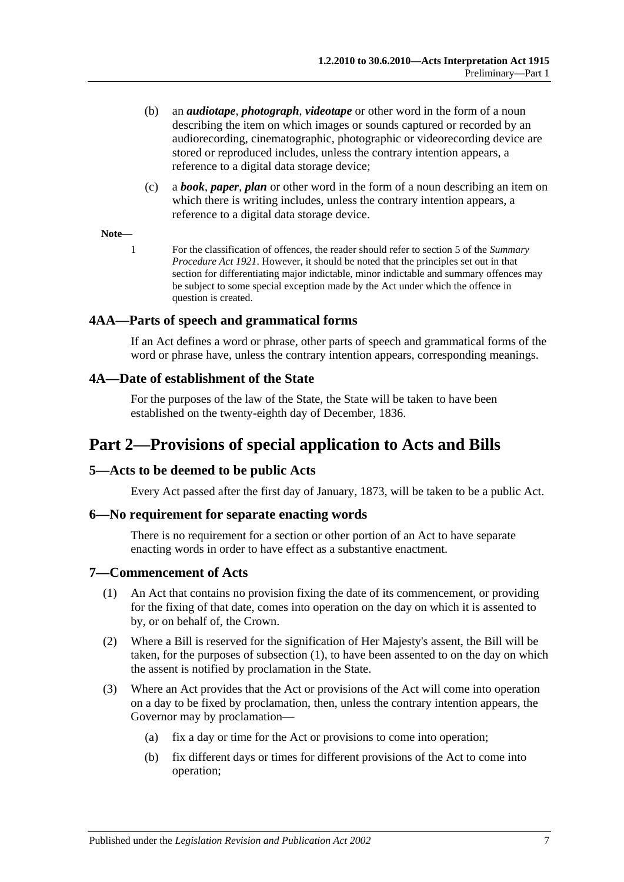- (b) an *audiotape*, *photograph*, *videotape* or other word in the form of a noun describing the item on which images or sounds captured or recorded by an audiorecording, cinematographic, photographic or videorecording device are stored or reproduced includes, unless the contrary intention appears, a reference to a digital data storage device;
- (c) a *book*, *paper*, *plan* or other word in the form of a noun describing an item on which there is writing includes, unless the contrary intention appears, a reference to a digital data storage device.

#### **Note—**

1 For the classification of offences, the reader should refer to section 5 of the *[Summary](http://www.legislation.sa.gov.au/index.aspx?action=legref&type=act&legtitle=Summary%20Procedure%20Act%201921)  [Procedure Act](http://www.legislation.sa.gov.au/index.aspx?action=legref&type=act&legtitle=Summary%20Procedure%20Act%201921) 1921*. However, it should be noted that the principles set out in that section for differentiating major indictable, minor indictable and summary offences may be subject to some special exception made by the Act under which the offence in question is created.

#### <span id="page-6-0"></span>**4AA—Parts of speech and grammatical forms**

If an Act defines a word or phrase, other parts of speech and grammatical forms of the word or phrase have, unless the contrary intention appears, corresponding meanings.

#### <span id="page-6-1"></span>**4A—Date of establishment of the State**

For the purposes of the law of the State, the State will be taken to have been established on the twenty-eighth day of December, 1836.

## <span id="page-6-2"></span>**Part 2—Provisions of special application to Acts and Bills**

#### <span id="page-6-3"></span>**5—Acts to be deemed to be public Acts**

Every Act passed after the first day of January, 1873, will be taken to be a public Act.

#### <span id="page-6-4"></span>**6—No requirement for separate enacting words**

There is no requirement for a section or other portion of an Act to have separate enacting words in order to have effect as a substantive enactment.

#### <span id="page-6-6"></span><span id="page-6-5"></span>**7—Commencement of Acts**

- (1) An Act that contains no provision fixing the date of its commencement, or providing for the fixing of that date, comes into operation on the day on which it is assented to by, or on behalf of, the Crown.
- (2) Where a Bill is reserved for the signification of Her Majesty's assent, the Bill will be taken, for the purposes of [subsection](#page-6-6) (1), to have been assented to on the day on which the assent is notified by proclamation in the State.
- <span id="page-6-7"></span>(3) Where an Act provides that the Act or provisions of the Act will come into operation on a day to be fixed by proclamation, then, unless the contrary intention appears, the Governor may by proclamation—
	- (a) fix a day or time for the Act or provisions to come into operation;
	- (b) fix different days or times for different provisions of the Act to come into operation;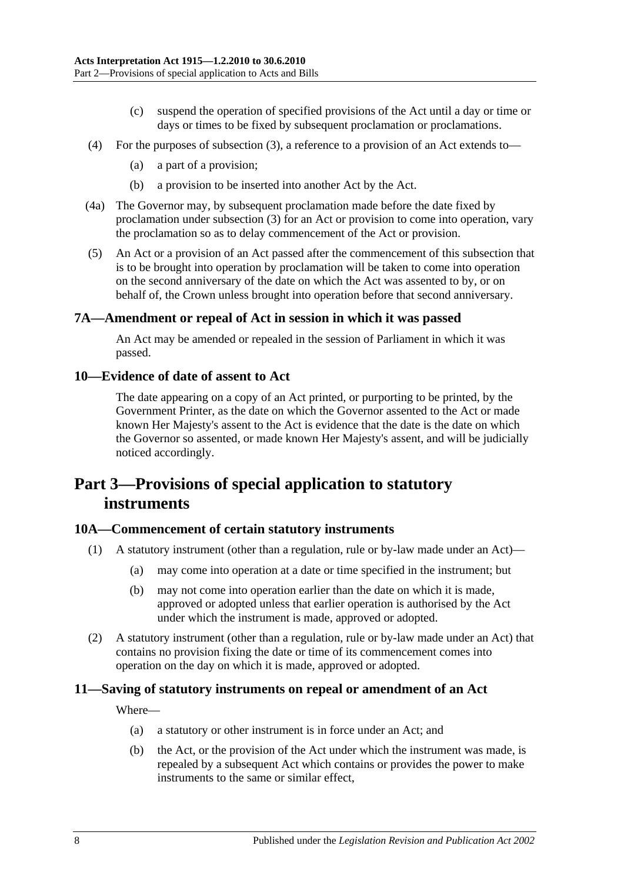- (c) suspend the operation of specified provisions of the Act until a day or time or days or times to be fixed by subsequent proclamation or proclamations.
- (4) For the purposes of [subsection](#page-6-7) (3), a reference to a provision of an Act extends to—
	- (a) a part of a provision;
	- (b) a provision to be inserted into another Act by the Act.
- (4a) The Governor may, by subsequent proclamation made before the date fixed by proclamation under [subsection](#page-6-7) (3) for an Act or provision to come into operation, vary the proclamation so as to delay commencement of the Act or provision.
- (5) An Act or a provision of an Act passed after the commencement of this subsection that is to be brought into operation by proclamation will be taken to come into operation on the second anniversary of the date on which the Act was assented to by, or on behalf of, the Crown unless brought into operation before that second anniversary.

#### <span id="page-7-0"></span>**7A—Amendment or repeal of Act in session in which it was passed**

An Act may be amended or repealed in the session of Parliament in which it was passed.

#### <span id="page-7-1"></span>**10—Evidence of date of assent to Act**

The date appearing on a copy of an Act printed, or purporting to be printed, by the Government Printer, as the date on which the Governor assented to the Act or made known Her Majesty's assent to the Act is evidence that the date is the date on which the Governor so assented, or made known Her Majesty's assent, and will be judicially noticed accordingly.

## <span id="page-7-2"></span>**Part 3—Provisions of special application to statutory instruments**

#### <span id="page-7-3"></span>**10A—Commencement of certain statutory instruments**

- (1) A statutory instrument (other than a regulation, rule or by-law made under an Act)—
	- (a) may come into operation at a date or time specified in the instrument; but
	- (b) may not come into operation earlier than the date on which it is made, approved or adopted unless that earlier operation is authorised by the Act under which the instrument is made, approved or adopted.
- (2) A statutory instrument (other than a regulation, rule or by-law made under an Act) that contains no provision fixing the date or time of its commencement comes into operation on the day on which it is made, approved or adopted.

#### <span id="page-7-4"></span>**11—Saving of statutory instruments on repeal or amendment of an Act**

Where—

- (a) a statutory or other instrument is in force under an Act; and
- (b) the Act, or the provision of the Act under which the instrument was made, is repealed by a subsequent Act which contains or provides the power to make instruments to the same or similar effect,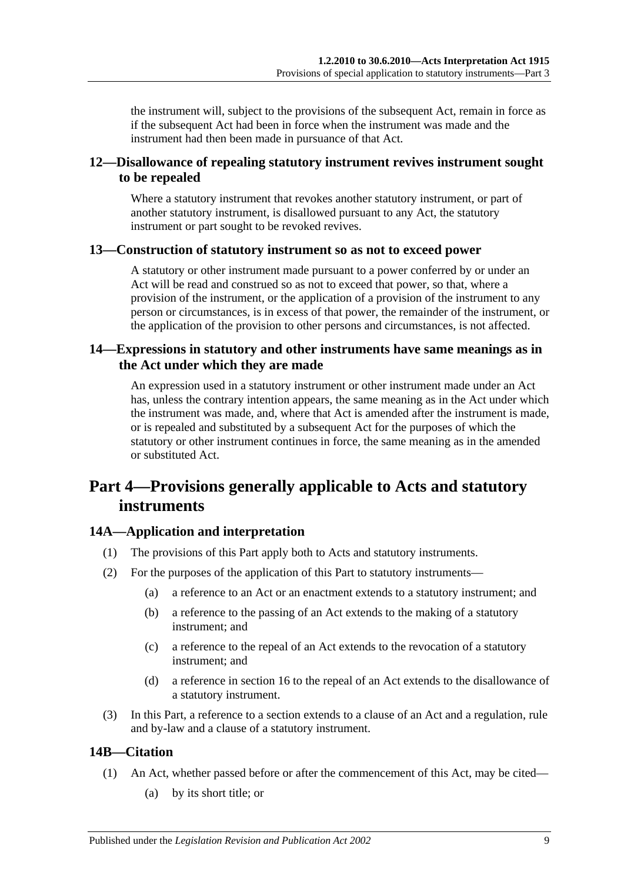the instrument will, subject to the provisions of the subsequent Act, remain in force as if the subsequent Act had been in force when the instrument was made and the instrument had then been made in pursuance of that Act.

#### <span id="page-8-0"></span>**12—Disallowance of repealing statutory instrument revives instrument sought to be repealed**

Where a statutory instrument that revokes another statutory instrument, or part of another statutory instrument, is disallowed pursuant to any Act, the statutory instrument or part sought to be revoked revives.

#### <span id="page-8-1"></span>**13—Construction of statutory instrument so as not to exceed power**

A statutory or other instrument made pursuant to a power conferred by or under an Act will be read and construed so as not to exceed that power, so that, where a provision of the instrument, or the application of a provision of the instrument to any person or circumstances, is in excess of that power, the remainder of the instrument, or the application of the provision to other persons and circumstances, is not affected.

#### <span id="page-8-2"></span>**14—Expressions in statutory and other instruments have same meanings as in the Act under which they are made**

An expression used in a statutory instrument or other instrument made under an Act has, unless the contrary intention appears, the same meaning as in the Act under which the instrument was made, and, where that Act is amended after the instrument is made, or is repealed and substituted by a subsequent Act for the purposes of which the statutory or other instrument continues in force, the same meaning as in the amended or substituted Act.

## <span id="page-8-3"></span>**Part 4—Provisions generally applicable to Acts and statutory instruments**

### <span id="page-8-4"></span>**14A—Application and interpretation**

- (1) The provisions of this Part apply both to Acts and statutory instruments.
- (2) For the purposes of the application of this Part to statutory instruments—
	- (a) a reference to an Act or an enactment extends to a statutory instrument; and
	- (b) a reference to the passing of an Act extends to the making of a statutory instrument; and
	- (c) a reference to the repeal of an Act extends to the revocation of a statutory instrument; and
	- (d) a reference in [section](#page-10-2) 16 to the repeal of an Act extends to the disallowance of a statutory instrument.
- (3) In this Part, a reference to a section extends to a clause of an Act and a regulation, rule and by-law and a clause of a statutory instrument.

### <span id="page-8-5"></span>**14B—Citation**

- (1) An Act, whether passed before or after the commencement of this Act, may be cited—
	- (a) by its short title; or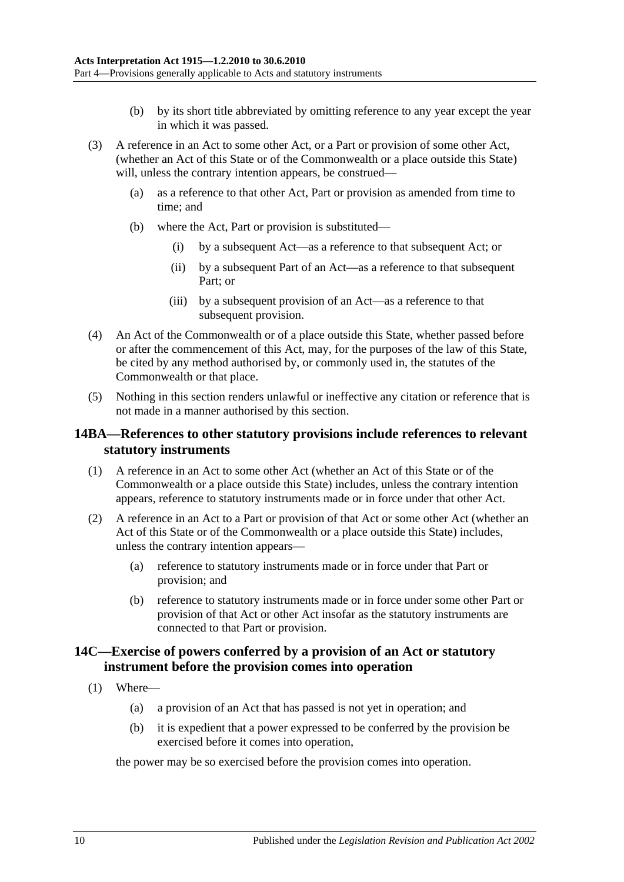- (b) by its short title abbreviated by omitting reference to any year except the year in which it was passed.
- (3) A reference in an Act to some other Act, or a Part or provision of some other Act, (whether an Act of this State or of the Commonwealth or a place outside this State) will, unless the contrary intention appears, be construed—
	- (a) as a reference to that other Act, Part or provision as amended from time to time; and
	- (b) where the Act, Part or provision is substituted—
		- (i) by a subsequent Act—as a reference to that subsequent Act; or
		- (ii) by a subsequent Part of an Act—as a reference to that subsequent Part; or
		- (iii) by a subsequent provision of an Act—as a reference to that subsequent provision.
- (4) An Act of the Commonwealth or of a place outside this State, whether passed before or after the commencement of this Act, may, for the purposes of the law of this State, be cited by any method authorised by, or commonly used in, the statutes of the Commonwealth or that place.
- (5) Nothing in this section renders unlawful or ineffective any citation or reference that is not made in a manner authorised by this section.

#### <span id="page-9-0"></span>**14BA—References to other statutory provisions include references to relevant statutory instruments**

- (1) A reference in an Act to some other Act (whether an Act of this State or of the Commonwealth or a place outside this State) includes, unless the contrary intention appears, reference to statutory instruments made or in force under that other Act.
- (2) A reference in an Act to a Part or provision of that Act or some other Act (whether an Act of this State or of the Commonwealth or a place outside this State) includes, unless the contrary intention appears—
	- (a) reference to statutory instruments made or in force under that Part or provision; and
	- (b) reference to statutory instruments made or in force under some other Part or provision of that Act or other Act insofar as the statutory instruments are connected to that Part or provision.

#### <span id="page-9-1"></span>**14C—Exercise of powers conferred by a provision of an Act or statutory instrument before the provision comes into operation**

- <span id="page-9-2"></span>(1) Where—
	- (a) a provision of an Act that has passed is not yet in operation; and
	- (b) it is expedient that a power expressed to be conferred by the provision be exercised before it comes into operation,

the power may be so exercised before the provision comes into operation.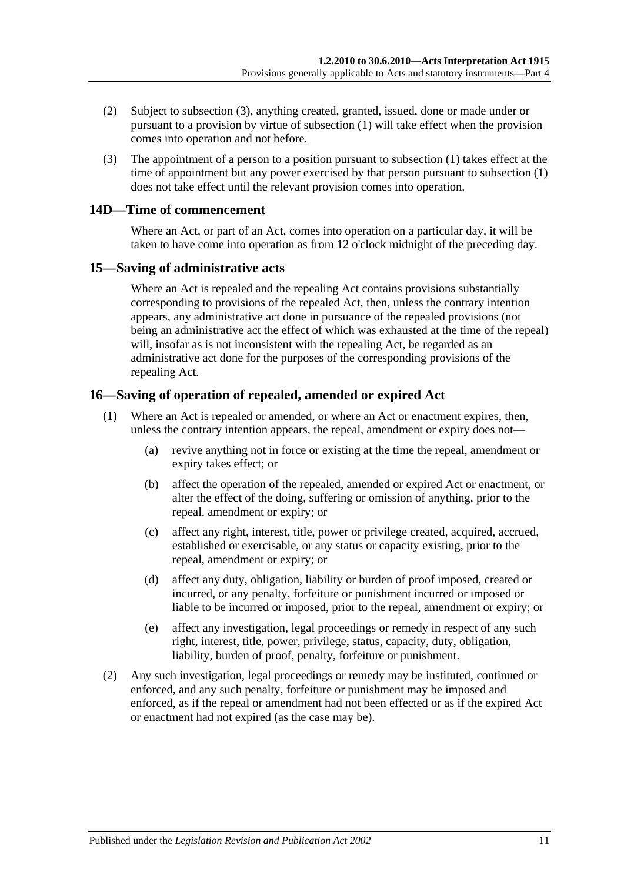- (2) Subject to [subsection](#page-10-3) (3), anything created, granted, issued, done or made under or pursuant to a provision by virtue of [subsection](#page-9-2) (1) will take effect when the provision comes into operation and not before.
- <span id="page-10-3"></span>(3) The appointment of a person to a position pursuant to [subsection](#page-9-2) (1) takes effect at the time of appointment but any power exercised by that person pursuant to [subsection](#page-9-2) (1) does not take effect until the relevant provision comes into operation.

#### <span id="page-10-0"></span>**14D—Time of commencement**

Where an Act, or part of an Act, comes into operation on a particular day, it will be taken to have come into operation as from 12 o'clock midnight of the preceding day.

#### <span id="page-10-1"></span>**15—Saving of administrative acts**

Where an Act is repealed and the repealing Act contains provisions substantially corresponding to provisions of the repealed Act, then, unless the contrary intention appears, any administrative act done in pursuance of the repealed provisions (not being an administrative act the effect of which was exhausted at the time of the repeal) will, insofar as is not inconsistent with the repealing Act, be regarded as an administrative act done for the purposes of the corresponding provisions of the repealing Act.

#### <span id="page-10-2"></span>**16—Saving of operation of repealed, amended or expired Act**

- (1) Where an Act is repealed or amended, or where an Act or enactment expires, then, unless the contrary intention appears, the repeal, amendment or expiry does not—
	- (a) revive anything not in force or existing at the time the repeal, amendment or expiry takes effect; or
	- (b) affect the operation of the repealed, amended or expired Act or enactment, or alter the effect of the doing, suffering or omission of anything, prior to the repeal, amendment or expiry; or
	- (c) affect any right, interest, title, power or privilege created, acquired, accrued, established or exercisable, or any status or capacity existing, prior to the repeal, amendment or expiry; or
	- (d) affect any duty, obligation, liability or burden of proof imposed, created or incurred, or any penalty, forfeiture or punishment incurred or imposed or liable to be incurred or imposed, prior to the repeal, amendment or expiry; or
	- (e) affect any investigation, legal proceedings or remedy in respect of any such right, interest, title, power, privilege, status, capacity, duty, obligation, liability, burden of proof, penalty, forfeiture or punishment.
- (2) Any such investigation, legal proceedings or remedy may be instituted, continued or enforced, and any such penalty, forfeiture or punishment may be imposed and enforced, as if the repeal or amendment had not been effected or as if the expired Act or enactment had not expired (as the case may be).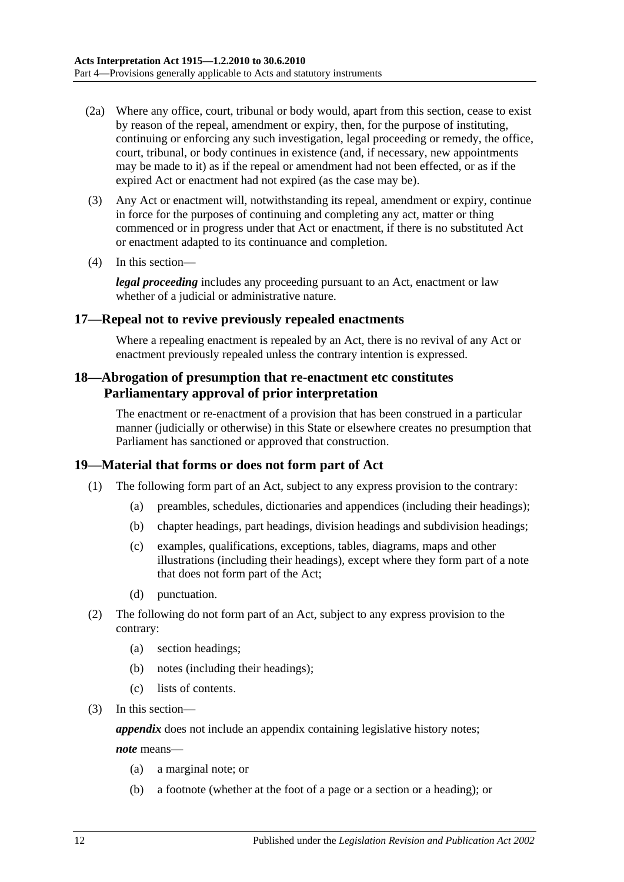- (2a) Where any office, court, tribunal or body would, apart from this section, cease to exist by reason of the repeal, amendment or expiry, then, for the purpose of instituting, continuing or enforcing any such investigation, legal proceeding or remedy, the office, court, tribunal, or body continues in existence (and, if necessary, new appointments may be made to it) as if the repeal or amendment had not been effected, or as if the expired Act or enactment had not expired (as the case may be).
- (3) Any Act or enactment will, notwithstanding its repeal, amendment or expiry, continue in force for the purposes of continuing and completing any act, matter or thing commenced or in progress under that Act or enactment, if there is no substituted Act or enactment adapted to its continuance and completion.
- (4) In this section—

*legal proceeding* includes any proceeding pursuant to an Act, enactment or law whether of a judicial or administrative nature.

#### <span id="page-11-0"></span>**17—Repeal not to revive previously repealed enactments**

Where a repealing enactment is repealed by an Act, there is no revival of any Act or enactment previously repealed unless the contrary intention is expressed.

#### <span id="page-11-1"></span>**18—Abrogation of presumption that re-enactment etc constitutes Parliamentary approval of prior interpretation**

The enactment or re-enactment of a provision that has been construed in a particular manner (judicially or otherwise) in this State or elsewhere creates no presumption that Parliament has sanctioned or approved that construction.

#### <span id="page-11-2"></span>**19—Material that forms or does not form part of Act**

- (1) The following form part of an Act, subject to any express provision to the contrary:
	- (a) preambles, schedules, dictionaries and appendices (including their headings);
	- (b) chapter headings, part headings, division headings and subdivision headings;
	- (c) examples, qualifications, exceptions, tables, diagrams, maps and other illustrations (including their headings), except where they form part of a note that does not form part of the Act;
	- (d) punctuation.
- (2) The following do not form part of an Act, subject to any express provision to the contrary:
	- (a) section headings;
	- (b) notes (including their headings);
	- (c) lists of contents.
- (3) In this section—

*appendix* does not include an appendix containing legislative history notes;

*note* means—

- (a) a marginal note; or
- (b) a footnote (whether at the foot of a page or a section or a heading); or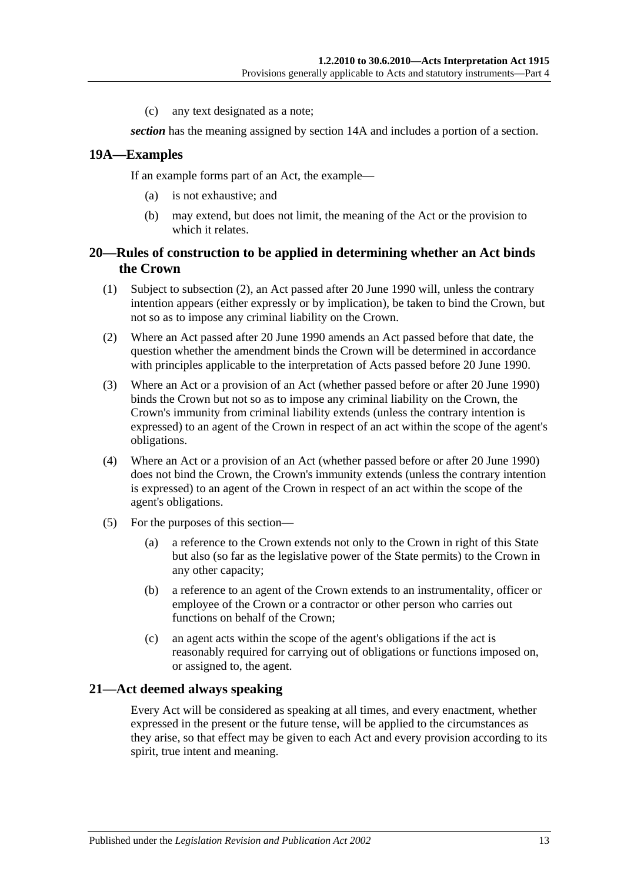(c) any text designated as a note;

*section* has the meaning assigned by [section](#page-8-4) 14A and includes a portion of a section.

#### <span id="page-12-0"></span>**19A—Examples**

If an example forms part of an Act, the example—

- (a) is not exhaustive; and
- (b) may extend, but does not limit, the meaning of the Act or the provision to which it relates.

#### <span id="page-12-1"></span>**20—Rules of construction to be applied in determining whether an Act binds the Crown**

- (1) Subject to [subsection](#page-12-3) (2), an Act passed after 20 June 1990 will, unless the contrary intention appears (either expressly or by implication), be taken to bind the Crown, but not so as to impose any criminal liability on the Crown.
- <span id="page-12-3"></span>(2) Where an Act passed after 20 June 1990 amends an Act passed before that date, the question whether the amendment binds the Crown will be determined in accordance with principles applicable to the interpretation of Acts passed before 20 June 1990.
- (3) Where an Act or a provision of an Act (whether passed before or after 20 June 1990) binds the Crown but not so as to impose any criminal liability on the Crown, the Crown's immunity from criminal liability extends (unless the contrary intention is expressed) to an agent of the Crown in respect of an act within the scope of the agent's obligations.
- (4) Where an Act or a provision of an Act (whether passed before or after 20 June 1990) does not bind the Crown, the Crown's immunity extends (unless the contrary intention is expressed) to an agent of the Crown in respect of an act within the scope of the agent's obligations.
- (5) For the purposes of this section—
	- (a) a reference to the Crown extends not only to the Crown in right of this State but also (so far as the legislative power of the State permits) to the Crown in any other capacity;
	- (b) a reference to an agent of the Crown extends to an instrumentality, officer or employee of the Crown or a contractor or other person who carries out functions on behalf of the Crown;
	- (c) an agent acts within the scope of the agent's obligations if the act is reasonably required for carrying out of obligations or functions imposed on, or assigned to, the agent.

#### <span id="page-12-2"></span>**21—Act deemed always speaking**

Every Act will be considered as speaking at all times, and every enactment, whether expressed in the present or the future tense, will be applied to the circumstances as they arise, so that effect may be given to each Act and every provision according to its spirit, true intent and meaning.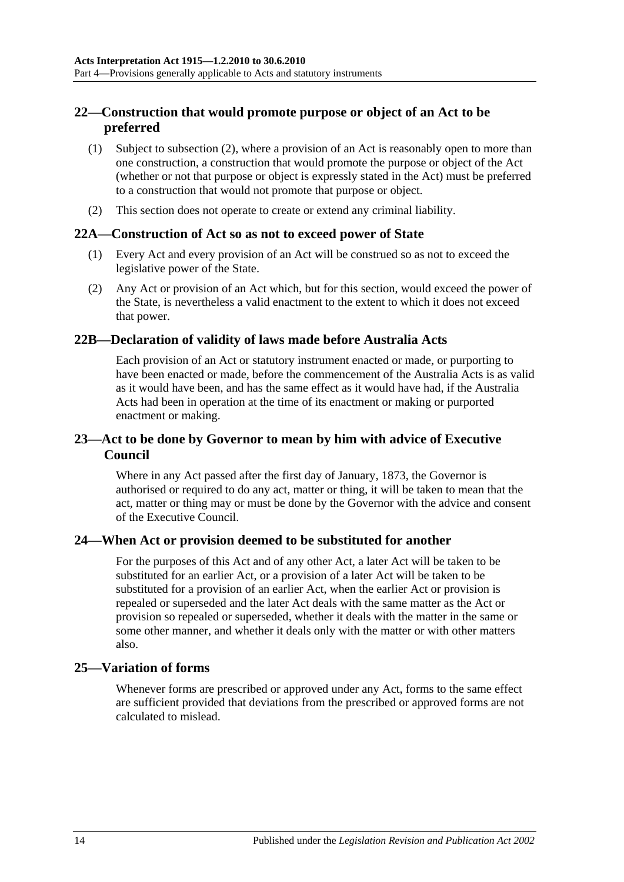### <span id="page-13-0"></span>**22—Construction that would promote purpose or object of an Act to be preferred**

- (1) Subject to [subsection](#page-13-6) (2), where a provision of an Act is reasonably open to more than one construction, a construction that would promote the purpose or object of the Act (whether or not that purpose or object is expressly stated in the Act) must be preferred to a construction that would not promote that purpose or object.
- <span id="page-13-6"></span>(2) This section does not operate to create or extend any criminal liability.

#### <span id="page-13-1"></span>**22A—Construction of Act so as not to exceed power of State**

- (1) Every Act and every provision of an Act will be construed so as not to exceed the legislative power of the State.
- (2) Any Act or provision of an Act which, but for this section, would exceed the power of the State, is nevertheless a valid enactment to the extent to which it does not exceed that power.

#### <span id="page-13-2"></span>**22B—Declaration of validity of laws made before Australia Acts**

Each provision of an Act or statutory instrument enacted or made, or purporting to have been enacted or made, before the commencement of the Australia Acts is as valid as it would have been, and has the same effect as it would have had, if the Australia Acts had been in operation at the time of its enactment or making or purported enactment or making.

#### <span id="page-13-3"></span>**23—Act to be done by Governor to mean by him with advice of Executive Council**

Where in any Act passed after the first day of January, 1873, the Governor is authorised or required to do any act, matter or thing, it will be taken to mean that the act, matter or thing may or must be done by the Governor with the advice and consent of the Executive Council.

#### <span id="page-13-4"></span>**24—When Act or provision deemed to be substituted for another**

For the purposes of this Act and of any other Act, a later Act will be taken to be substituted for an earlier Act, or a provision of a later Act will be taken to be substituted for a provision of an earlier Act, when the earlier Act or provision is repealed or superseded and the later Act deals with the same matter as the Act or provision so repealed or superseded, whether it deals with the matter in the same or some other manner, and whether it deals only with the matter or with other matters also.

#### <span id="page-13-5"></span>**25—Variation of forms**

Whenever forms are prescribed or approved under any Act, forms to the same effect are sufficient provided that deviations from the prescribed or approved forms are not calculated to mislead.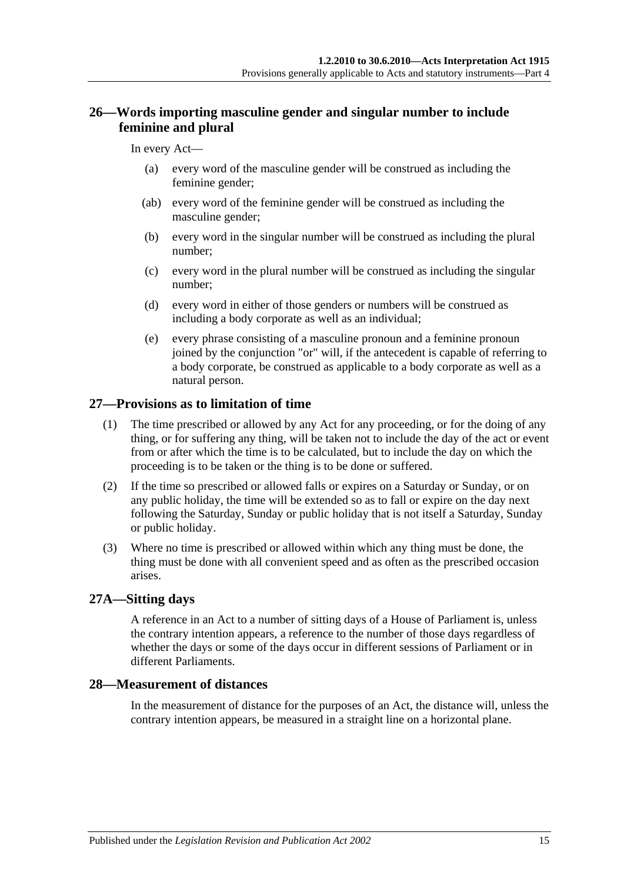### <span id="page-14-0"></span>**26—Words importing masculine gender and singular number to include feminine and plural**

#### In every Act—

- (a) every word of the masculine gender will be construed as including the feminine gender;
- (ab) every word of the feminine gender will be construed as including the masculine gender;
- (b) every word in the singular number will be construed as including the plural number;
- (c) every word in the plural number will be construed as including the singular number;
- (d) every word in either of those genders or numbers will be construed as including a body corporate as well as an individual;
- (e) every phrase consisting of a masculine pronoun and a feminine pronoun joined by the conjunction "or" will, if the antecedent is capable of referring to a body corporate, be construed as applicable to a body corporate as well as a natural person.

#### <span id="page-14-1"></span>**27—Provisions as to limitation of time**

- (1) The time prescribed or allowed by any Act for any proceeding, or for the doing of any thing, or for suffering any thing, will be taken not to include the day of the act or event from or after which the time is to be calculated, but to include the day on which the proceeding is to be taken or the thing is to be done or suffered.
- (2) If the time so prescribed or allowed falls or expires on a Saturday or Sunday, or on any public holiday, the time will be extended so as to fall or expire on the day next following the Saturday, Sunday or public holiday that is not itself a Saturday, Sunday or public holiday.
- (3) Where no time is prescribed or allowed within which any thing must be done, the thing must be done with all convenient speed and as often as the prescribed occasion arises.

#### <span id="page-14-2"></span>**27A—Sitting days**

A reference in an Act to a number of sitting days of a House of Parliament is, unless the contrary intention appears, a reference to the number of those days regardless of whether the days or some of the days occur in different sessions of Parliament or in different Parliaments.

#### <span id="page-14-3"></span>**28—Measurement of distances**

In the measurement of distance for the purposes of an Act, the distance will, unless the contrary intention appears, be measured in a straight line on a horizontal plane.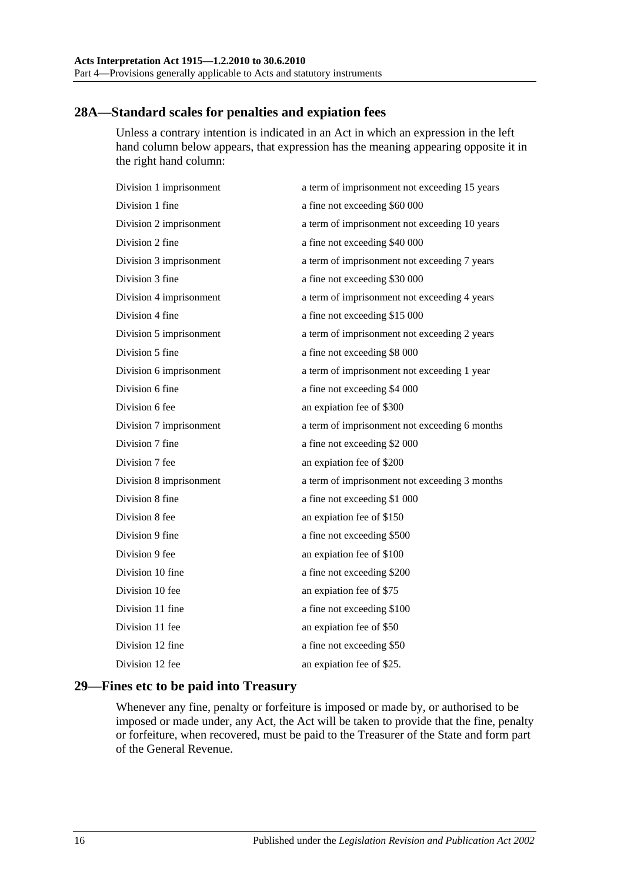#### <span id="page-15-0"></span>**28A—Standard scales for penalties and expiation fees**

Unless a contrary intention is indicated in an Act in which an expression in the left hand column below appears, that expression has the meaning appearing opposite it in the right hand column:

| Division 1 imprisonment | a term of imprisonment not exceeding 15 years |
|-------------------------|-----------------------------------------------|
| Division 1 fine         | a fine not exceeding \$60 000                 |
| Division 2 imprisonment | a term of imprisonment not exceeding 10 years |
| Division 2 fine         | a fine not exceeding \$40 000                 |
| Division 3 imprisonment | a term of imprisonment not exceeding 7 years  |
| Division 3 fine         | a fine not exceeding \$30 000                 |
| Division 4 imprisonment | a term of imprisonment not exceeding 4 years  |
| Division 4 fine         | a fine not exceeding \$15 000                 |
| Division 5 imprisonment | a term of imprisonment not exceeding 2 years  |
| Division 5 fine         | a fine not exceeding \$8 000                  |
| Division 6 imprisonment | a term of imprisonment not exceeding 1 year   |
| Division 6 fine         | a fine not exceeding \$4 000                  |
| Division 6 fee          | an expiation fee of \$300                     |
| Division 7 imprisonment | a term of imprisonment not exceeding 6 months |
| Division 7 fine         | a fine not exceeding \$2 000                  |
| Division 7 fee          | an expiation fee of \$200                     |
| Division 8 imprisonment | a term of imprisonment not exceeding 3 months |
| Division 8 fine         | a fine not exceeding \$1 000                  |
| Division 8 fee          | an expiation fee of \$150                     |
| Division 9 fine         | a fine not exceeding \$500                    |
| Division 9 fee          | an expiation fee of \$100                     |
| Division 10 fine        | a fine not exceeding \$200                    |
| Division 10 fee         | an expiation fee of \$75                      |
| Division 11 fine        | a fine not exceeding \$100                    |
| Division 11 fee         | an expiation fee of \$50                      |
| Division 12 fine        | a fine not exceeding \$50                     |
| Division 12 fee         | an expiation fee of \$25.                     |
|                         |                                               |

## <span id="page-15-1"></span>**29—Fines etc to be paid into Treasury**

Whenever any fine, penalty or forfeiture is imposed or made by, or authorised to be imposed or made under, any Act, the Act will be taken to provide that the fine, penalty or forfeiture, when recovered, must be paid to the Treasurer of the State and form part of the General Revenue.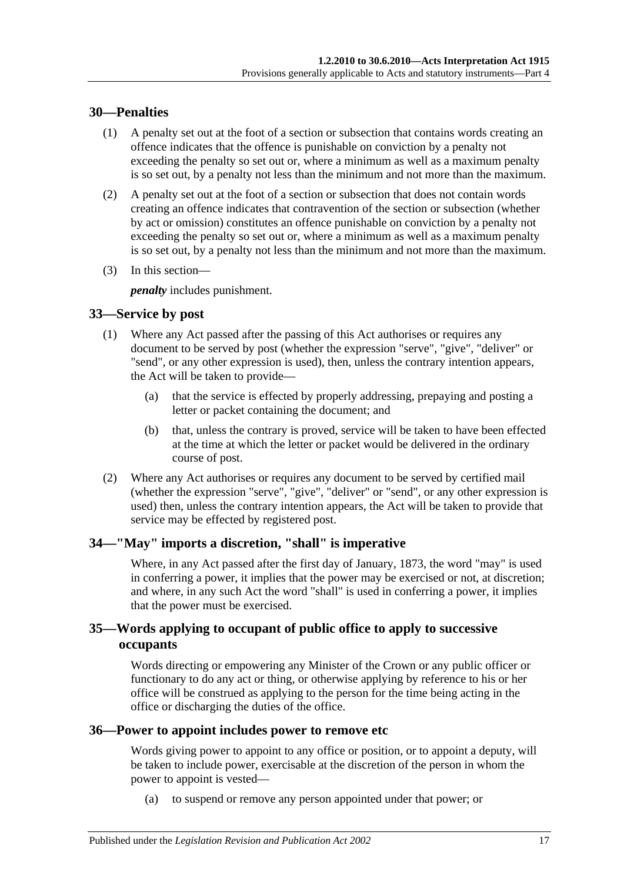#### <span id="page-16-0"></span>**30—Penalties**

- (1) A penalty set out at the foot of a section or subsection that contains words creating an offence indicates that the offence is punishable on conviction by a penalty not exceeding the penalty so set out or, where a minimum as well as a maximum penalty is so set out, by a penalty not less than the minimum and not more than the maximum.
- (2) A penalty set out at the foot of a section or subsection that does not contain words creating an offence indicates that contravention of the section or subsection (whether by act or omission) constitutes an offence punishable on conviction by a penalty not exceeding the penalty so set out or, where a minimum as well as a maximum penalty is so set out, by a penalty not less than the minimum and not more than the maximum.
- (3) In this section—

*penalty* includes punishment.

#### <span id="page-16-1"></span>**33—Service by post**

- (1) Where any Act passed after the passing of this Act authorises or requires any document to be served by post (whether the expression "serve", "give", "deliver" or "send", or any other expression is used), then, unless the contrary intention appears, the Act will be taken to provide—
	- (a) that the service is effected by properly addressing, prepaying and posting a letter or packet containing the document; and
	- (b) that, unless the contrary is proved, service will be taken to have been effected at the time at which the letter or packet would be delivered in the ordinary course of post.
- (2) Where any Act authorises or requires any document to be served by certified mail (whether the expression "serve", "give", "deliver" or "send", or any other expression is used) then, unless the contrary intention appears, the Act will be taken to provide that service may be effected by registered post.

### <span id="page-16-2"></span>**34—"May" imports a discretion, "shall" is imperative**

Where, in any Act passed after the first day of January, 1873, the word "may" is used in conferring a power, it implies that the power may be exercised or not, at discretion; and where, in any such Act the word "shall" is used in conferring a power, it implies that the power must be exercised.

#### <span id="page-16-3"></span>**35—Words applying to occupant of public office to apply to successive occupants**

Words directing or empowering any Minister of the Crown or any public officer or functionary to do any act or thing, or otherwise applying by reference to his or her office will be construed as applying to the person for the time being acting in the office or discharging the duties of the office.

#### <span id="page-16-4"></span>**36—Power to appoint includes power to remove etc**

Words giving power to appoint to any office or position, or to appoint a deputy, will be taken to include power, exercisable at the discretion of the person in whom the power to appoint is vested—

(a) to suspend or remove any person appointed under that power; or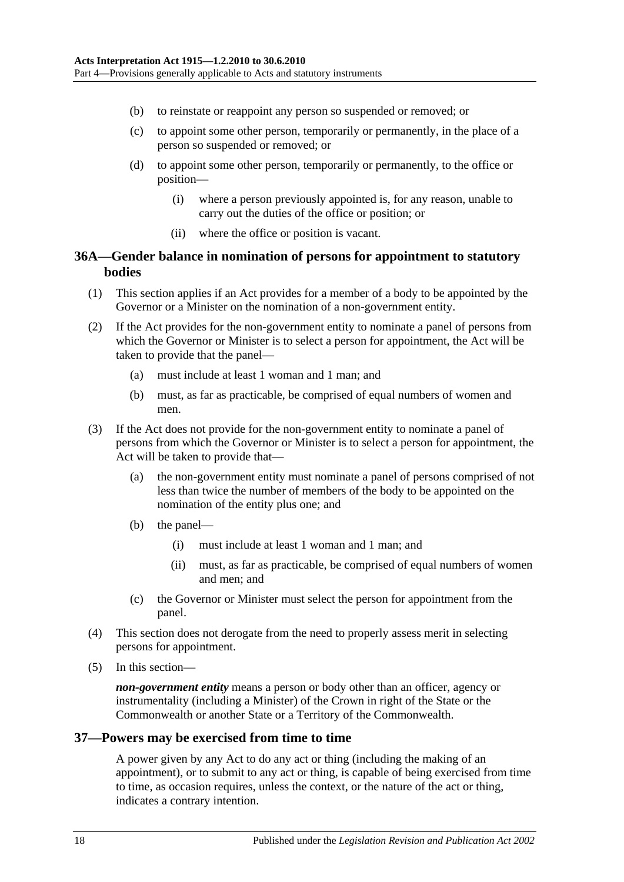- (b) to reinstate or reappoint any person so suspended or removed; or
- (c) to appoint some other person, temporarily or permanently, in the place of a person so suspended or removed; or
- (d) to appoint some other person, temporarily or permanently, to the office or position—
	- (i) where a person previously appointed is, for any reason, unable to carry out the duties of the office or position; or
	- (ii) where the office or position is vacant.

#### <span id="page-17-0"></span>**36A—Gender balance in nomination of persons for appointment to statutory bodies**

- (1) This section applies if an Act provides for a member of a body to be appointed by the Governor or a Minister on the nomination of a non-government entity.
- (2) If the Act provides for the non-government entity to nominate a panel of persons from which the Governor or Minister is to select a person for appointment, the Act will be taken to provide that the panel—
	- (a) must include at least 1 woman and 1 man; and
	- (b) must, as far as practicable, be comprised of equal numbers of women and men.
- (3) If the Act does not provide for the non-government entity to nominate a panel of persons from which the Governor or Minister is to select a person for appointment, the Act will be taken to provide that-
	- (a) the non-government entity must nominate a panel of persons comprised of not less than twice the number of members of the body to be appointed on the nomination of the entity plus one; and
	- (b) the panel—
		- (i) must include at least 1 woman and 1 man; and
		- (ii) must, as far as practicable, be comprised of equal numbers of women and men; and
	- (c) the Governor or Minister must select the person for appointment from the panel.
- (4) This section does not derogate from the need to properly assess merit in selecting persons for appointment.
- (5) In this section—

*non-government entity* means a person or body other than an officer, agency or instrumentality (including a Minister) of the Crown in right of the State or the Commonwealth or another State or a Territory of the Commonwealth.

#### <span id="page-17-1"></span>**37—Powers may be exercised from time to time**

A power given by any Act to do any act or thing (including the making of an appointment), or to submit to any act or thing, is capable of being exercised from time to time, as occasion requires, unless the context, or the nature of the act or thing, indicates a contrary intention.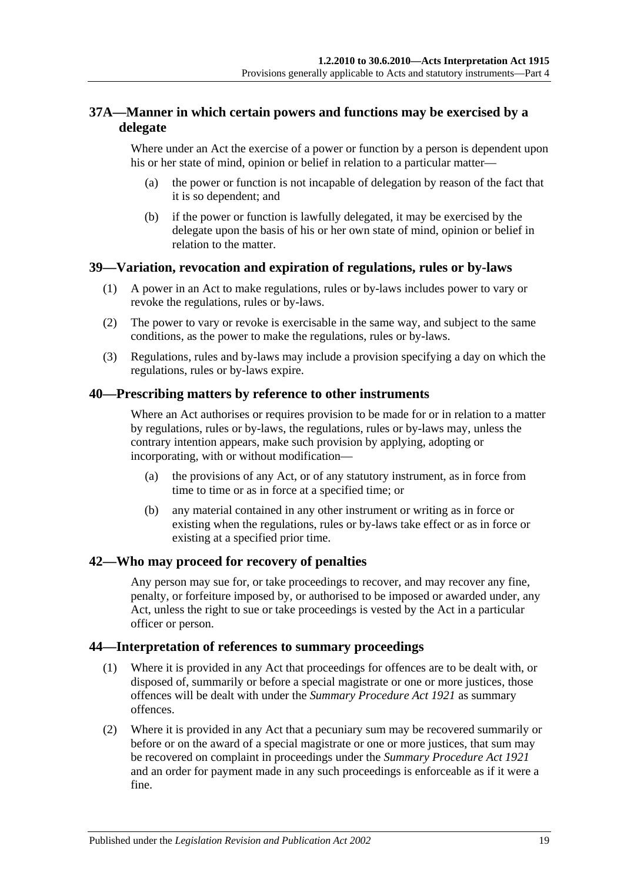## <span id="page-18-0"></span>**37A—Manner in which certain powers and functions may be exercised by a delegate**

Where under an Act the exercise of a power or function by a person is dependent upon his or her state of mind, opinion or belief in relation to a particular matter—

- (a) the power or function is not incapable of delegation by reason of the fact that it is so dependent; and
- (b) if the power or function is lawfully delegated, it may be exercised by the delegate upon the basis of his or her own state of mind, opinion or belief in relation to the matter.

#### <span id="page-18-1"></span>**39—Variation, revocation and expiration of regulations, rules or by-laws**

- (1) A power in an Act to make regulations, rules or by-laws includes power to vary or revoke the regulations, rules or by-laws.
- (2) The power to vary or revoke is exercisable in the same way, and subject to the same conditions, as the power to make the regulations, rules or by-laws.
- (3) Regulations, rules and by-laws may include a provision specifying a day on which the regulations, rules or by-laws expire.

#### <span id="page-18-2"></span>**40—Prescribing matters by reference to other instruments**

Where an Act authorises or requires provision to be made for or in relation to a matter by regulations, rules or by-laws, the regulations, rules or by-laws may, unless the contrary intention appears, make such provision by applying, adopting or incorporating, with or without modification—

- (a) the provisions of any Act, or of any statutory instrument, as in force from time to time or as in force at a specified time; or
- (b) any material contained in any other instrument or writing as in force or existing when the regulations, rules or by-laws take effect or as in force or existing at a specified prior time.

#### <span id="page-18-3"></span>**42—Who may proceed for recovery of penalties**

Any person may sue for, or take proceedings to recover, and may recover any fine, penalty, or forfeiture imposed by, or authorised to be imposed or awarded under, any Act, unless the right to sue or take proceedings is vested by the Act in a particular officer or person.

#### <span id="page-18-4"></span>**44—Interpretation of references to summary proceedings**

- (1) Where it is provided in any Act that proceedings for offences are to be dealt with, or disposed of, summarily or before a special magistrate or one or more justices, those offences will be dealt with under the *[Summary Procedure Act](http://www.legislation.sa.gov.au/index.aspx?action=legref&type=act&legtitle=Summary%20Procedure%20Act%201921) 1921* as summary offences.
- (2) Where it is provided in any Act that a pecuniary sum may be recovered summarily or before or on the award of a special magistrate or one or more justices, that sum may be recovered on complaint in proceedings under the *[Summary Procedure Act](http://www.legislation.sa.gov.au/index.aspx?action=legref&type=act&legtitle=Summary%20Procedure%20Act%201921) 1921* and an order for payment made in any such proceedings is enforceable as if it were a fine.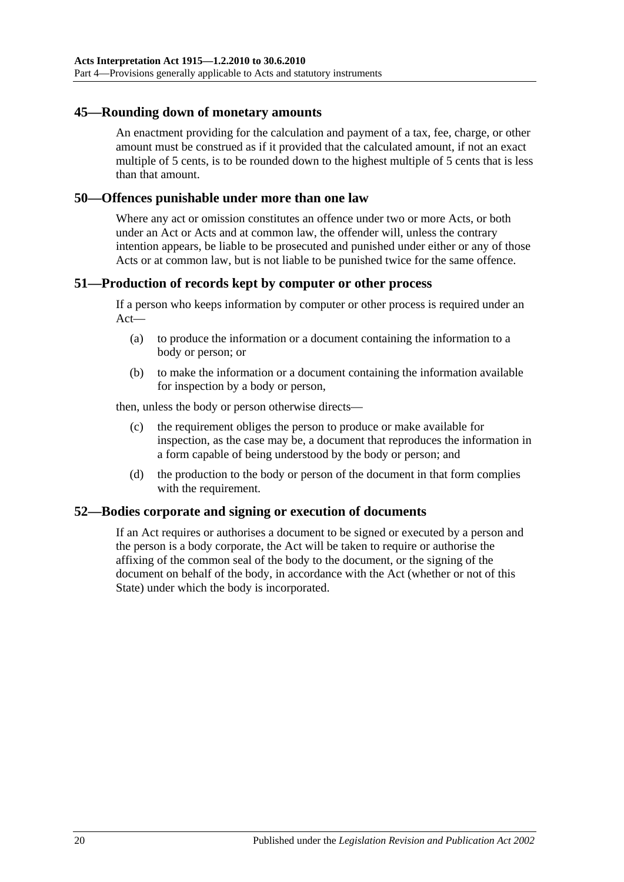#### <span id="page-19-0"></span>**45—Rounding down of monetary amounts**

An enactment providing for the calculation and payment of a tax, fee, charge, or other amount must be construed as if it provided that the calculated amount, if not an exact multiple of 5 cents, is to be rounded down to the highest multiple of 5 cents that is less than that amount.

#### <span id="page-19-1"></span>**50—Offences punishable under more than one law**

Where any act or omission constitutes an offence under two or more Acts, or both under an Act or Acts and at common law, the offender will, unless the contrary intention appears, be liable to be prosecuted and punished under either or any of those Acts or at common law, but is not liable to be punished twice for the same offence.

#### <span id="page-19-2"></span>**51—Production of records kept by computer or other process**

If a person who keeps information by computer or other process is required under an Act—

- (a) to produce the information or a document containing the information to a body or person; or
- (b) to make the information or a document containing the information available for inspection by a body or person,

then, unless the body or person otherwise directs—

- (c) the requirement obliges the person to produce or make available for inspection, as the case may be, a document that reproduces the information in a form capable of being understood by the body or person; and
- (d) the production to the body or person of the document in that form complies with the requirement.

#### <span id="page-19-3"></span>**52—Bodies corporate and signing or execution of documents**

If an Act requires or authorises a document to be signed or executed by a person and the person is a body corporate, the Act will be taken to require or authorise the affixing of the common seal of the body to the document, or the signing of the document on behalf of the body, in accordance with the Act (whether or not of this State) under which the body is incorporated.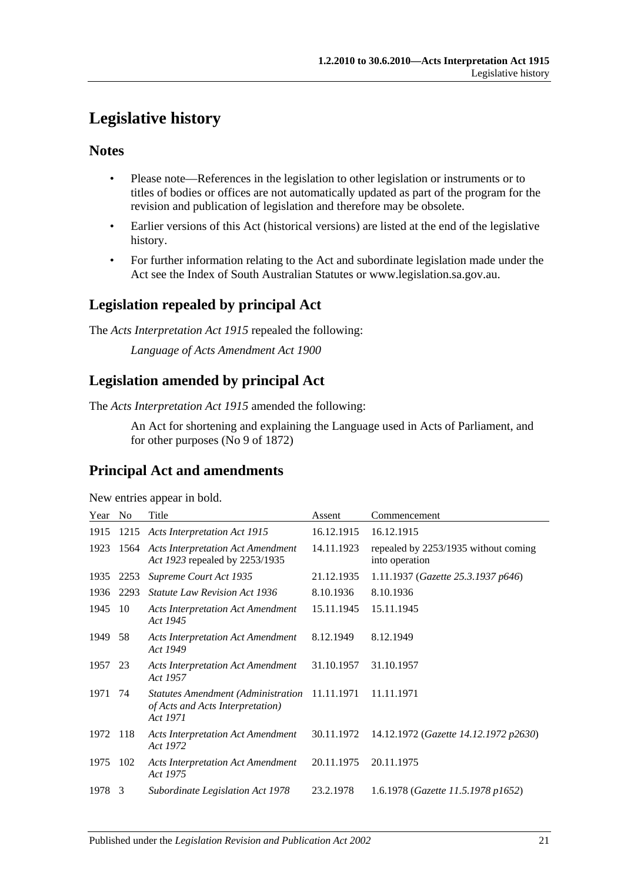## <span id="page-20-0"></span>**Legislative history**

#### **Notes**

- Please note—References in the legislation to other legislation or instruments or to titles of bodies or offices are not automatically updated as part of the program for the revision and publication of legislation and therefore may be obsolete.
- Earlier versions of this Act (historical versions) are listed at the end of the legislative history.
- For further information relating to the Act and subordinate legislation made under the Act see the Index of South Australian Statutes or www.legislation.sa.gov.au.

## **Legislation repealed by principal Act**

The *Acts Interpretation Act 1915* repealed the following:

*Language of Acts Amendment Act 1900*

## **Legislation amended by principal Act**

The *Acts Interpretation Act 1915* amended the following:

An Act for shortening and explaining the Language used in Acts of Parliament, and for other purposes (No 9 of 1872)

## **Principal Act and amendments**

New entries appear in bold.

| Year    | No   | Title                                                                                     | Assent     | Commencement                                           |
|---------|------|-------------------------------------------------------------------------------------------|------------|--------------------------------------------------------|
| 1915    | 1215 | <b>Acts Interpretation Act 1915</b>                                                       | 16.12.1915 | 16.12.1915                                             |
| 1923    |      | 1564 Acts Interpretation Act Amendment<br>Act 1923 repealed by 2253/1935                  | 14.11.1923 | repealed by 2253/1935 without coming<br>into operation |
| 1935    | 2253 | Supreme Court Act 1935                                                                    | 21.12.1935 | 1.11.1937 (Gazette 25.3.1937 p646)                     |
| 1936    | 2293 | <i>Statute Law Revision Act 1936</i>                                                      | 8.10.1936  | 8.10.1936                                              |
| 1945    | 10   | <b>Acts Interpretation Act Amendment</b><br>Act 1945                                      | 15.11.1945 | 15.11.1945                                             |
| 1949    | 58   | <b>Acts Interpretation Act Amendment</b><br>Act 1949                                      | 8.12.1949  | 8.12.1949                                              |
| 1957 23 |      | <b>Acts Interpretation Act Amendment</b><br>Act 1957                                      | 31.10.1957 | 31.10.1957                                             |
| 1971    | 74   | <b>Statutes Amendment (Administration</b><br>of Acts and Acts Interpretation)<br>Act 1971 | 11.11.1971 | 11.11.1971                                             |
| 1972    | 118  | <b>Acts Interpretation Act Amendment</b><br>Act 1972                                      | 30.11.1972 | 14.12.1972 (Gazette 14.12.1972 p2630)                  |
| 1975    | 102  | <b>Acts Interpretation Act Amendment</b><br>Act 1975                                      | 20.11.1975 | 20.11.1975                                             |
| 1978    | 3    | Subordinate Legislation Act 1978                                                          | 23.2.1978  | 1.6.1978 (Gazette 11.5.1978 p1652)                     |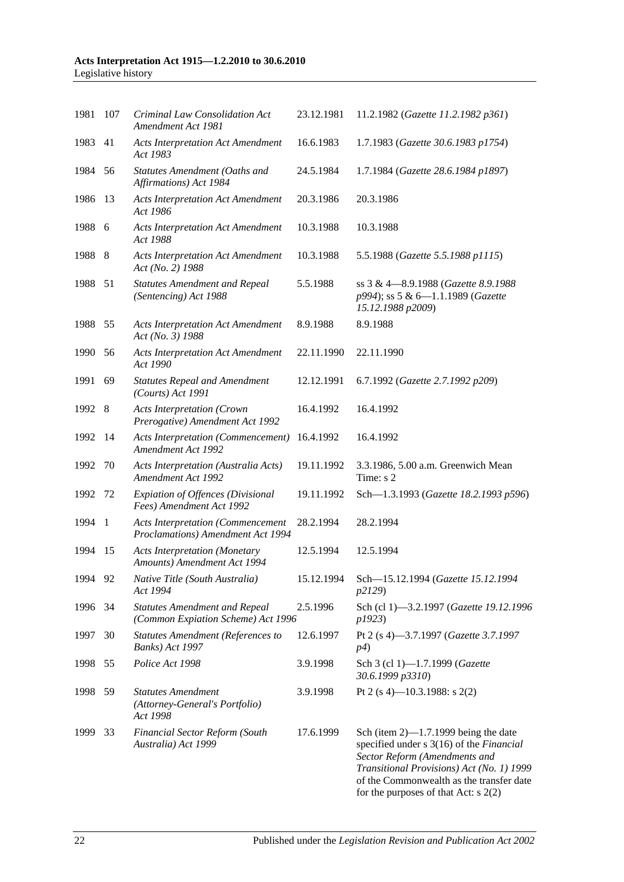#### **Acts Interpretation Act 1915—1.2.2010 to 30.6.2010** Legislative history

| 1981    | 107            | Criminal Law Consolidation Act<br>Amendment Act 1981                          | 23.12.1981 | 11.2.1982 (Gazette 11.2.1982 p361)                                                                                                                                                                                                                      |
|---------|----------------|-------------------------------------------------------------------------------|------------|---------------------------------------------------------------------------------------------------------------------------------------------------------------------------------------------------------------------------------------------------------|
| 1983    | 41             | <b>Acts Interpretation Act Amendment</b><br>Act 1983                          | 16.6.1983  | 1.7.1983 (Gazette 30.6.1983 p1754)                                                                                                                                                                                                                      |
| 1984 56 |                | Statutes Amendment (Oaths and<br>Affirmations) Act 1984                       | 24.5.1984  | 1.7.1984 (Gazette 28.6.1984 p1897)                                                                                                                                                                                                                      |
| 1986    | 13             | <b>Acts Interpretation Act Amendment</b><br>Act 1986                          | 20.3.1986  | 20.3.1986                                                                                                                                                                                                                                               |
| 1988 6  |                | <b>Acts Interpretation Act Amendment</b><br>Act 1988                          | 10.3.1988  | 10.3.1988                                                                                                                                                                                                                                               |
| 1988    | 8              | <b>Acts Interpretation Act Amendment</b><br>Act (No. 2) 1988                  | 10.3.1988  | 5.5.1988 (Gazette 5.5.1988 p1115)                                                                                                                                                                                                                       |
| 1988 51 |                | <b>Statutes Amendment and Repeal</b><br>(Sentencing) Act 1988                 | 5.5.1988   | ss 3 & 4-8.9.1988 (Gazette 8.9.1988<br>p994); ss 5 & 6-1.1.1989 (Gazette<br>15.12.1988 p2009)                                                                                                                                                           |
| 1988    | 55             | <b>Acts Interpretation Act Amendment</b><br>Act (No. 3) 1988                  | 8.9.1988   | 8.9.1988                                                                                                                                                                                                                                                |
| 1990    | 56             | <b>Acts Interpretation Act Amendment</b><br>Act 1990                          | 22.11.1990 | 22.11.1990                                                                                                                                                                                                                                              |
| 1991    | 69             | <b>Statutes Repeal and Amendment</b><br>$(Courts)$ Act 1991                   | 12.12.1991 | 6.7.1992 (Gazette 2.7.1992 p209)                                                                                                                                                                                                                        |
| 1992 8  |                | <b>Acts Interpretation (Crown</b><br>Prerogative) Amendment Act 1992          | 16.4.1992  | 16.4.1992                                                                                                                                                                                                                                               |
| 1992    | - 14           | <b>Acts Interpretation (Commencement)</b><br>Amendment Act 1992               | 16.4.1992  | 16.4.1992                                                                                                                                                                                                                                               |
| 1992    | 70             | Acts Interpretation (Australia Acts)<br>Amendment Act 1992                    | 19.11.1992 | 3.3.1986, 5.00 a.m. Greenwich Mean<br>Time: s 2                                                                                                                                                                                                         |
| 1992    | 72             | <b>Expiation of Offences (Divisional</b><br>Fees) Amendment Act 1992          | 19.11.1992 | Sch-1.3.1993 (Gazette 18.2.1993 p596)                                                                                                                                                                                                                   |
| 1994    | $\overline{1}$ | <b>Acts Interpretation (Commencement</b><br>Proclamations) Amendment Act 1994 | 28.2.1994  | 28.2.1994                                                                                                                                                                                                                                               |
| 1994    | 15             | <b>Acts Interpretation (Monetary</b><br>Amounts) Amendment Act 1994           | 12.5.1994  | 12.5.1994                                                                                                                                                                                                                                               |
| 1994 92 |                | Native Title (South Australia)<br>Act 1994                                    | 15.12.1994 | Sch-15.12.1994 (Gazette 15.12.1994<br>p2129)                                                                                                                                                                                                            |
| 1996    | 34             | <b>Statutes Amendment and Repeal</b><br>(Common Expiation Scheme) Act 1996    | 2.5.1996   | Sch (cl 1)-3.2.1997 (Gazette 19.12.1996<br>p1923)                                                                                                                                                                                                       |
| 1997    | 30             | <b>Statutes Amendment (References to</b><br>Banks) Act 1997                   | 12.6.1997  | Pt 2 (s 4)-3.7.1997 (Gazette 3.7.1997<br><i>p4</i> )                                                                                                                                                                                                    |
| 1998    | 55             | Police Act 1998                                                               | 3.9.1998   | Sch 3 (cl 1)-1.7.1999 (Gazette<br>30.6.1999 p3310)                                                                                                                                                                                                      |
| 1998    | 59             | <b>Statutes Amendment</b><br>(Attorney-General's Portfolio)<br>Act 1998       | 3.9.1998   | Pt 2 (s 4)—10.3.1988: s 2(2)                                                                                                                                                                                                                            |
| 1999    | 33             | <b>Financial Sector Reform (South</b><br>Australia) Act 1999                  | 17.6.1999  | Sch (item $2$ )—1.7.1999 being the date<br>specified under s 3(16) of the Financial<br>Sector Reform (Amendments and<br>Transitional Provisions) Act (No. 1) 1999<br>of the Commonwealth as the transfer date<br>for the purposes of that Act: $s$ 2(2) |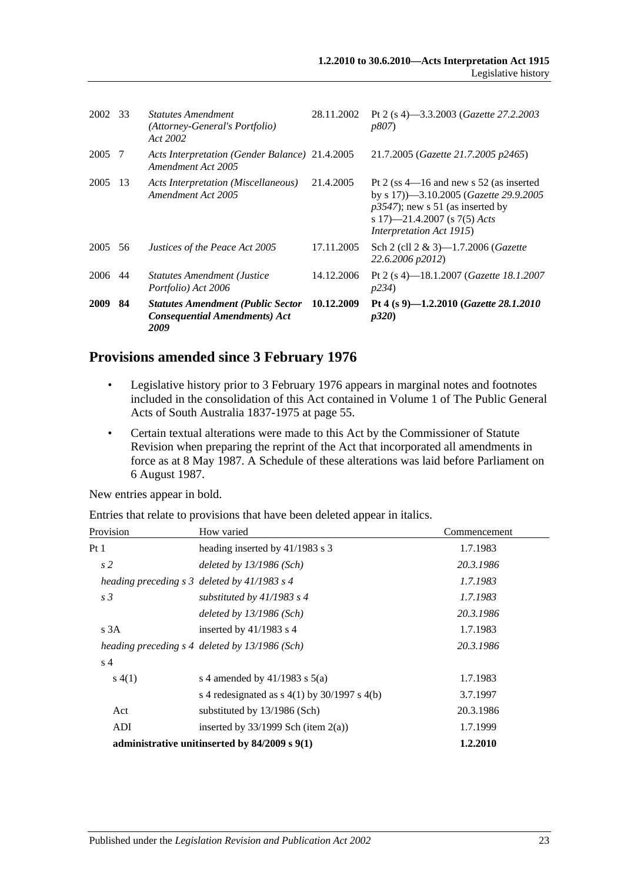| 2002 33 |     | <b>Statutes Amendment</b><br>(Attorney-General's Portfolio)<br>Act 2002                  | 28.11.2002 | Pt 2 (s 4)–3.3.2003 ( <i>Gazette 27.2.2003</i><br><i>p807</i> )                                                                                                                       |
|---------|-----|------------------------------------------------------------------------------------------|------------|---------------------------------------------------------------------------------------------------------------------------------------------------------------------------------------|
| 2005 7  |     | Acts Interpretation (Gender Balance) 21.4.2005<br>Amendment Act 2005                     |            | 21.7.2005 (Gazette 21.7.2005 p2465)                                                                                                                                                   |
| 2005    | 13  | Acts Interpretation (Miscellaneous)<br>Amendment Act 2005                                | 21.4.2005  | Pt 2 (ss $4-16$ and new s 52 (as inserted<br>by s 17) -3.10.2005 (Gazette 29.9.2005<br>$p3547$ ; new s 51 (as inserted by<br>s 17)-21.4.2007 (s 7(5) Acts<br>Interpretation Act 1915) |
| 2005    | 56  | Justices of the Peace Act 2005                                                           | 17.11.2005 | Sch 2 (cll $2 \& 3$ )—1.7.2006 ( <i>Gazette</i><br>22.6.2006 p2012)                                                                                                                   |
| 2006    | -44 | <b>Statutes Amendment (Justice</b><br>Portfolio) Act 2006                                | 14.12.2006 | Pt 2 (s 4)—18.1.2007 ( <i>Gazette 18.1.2007</i><br><i>p</i> 234)                                                                                                                      |
| 2009    | 84  | <b>Statutes Amendment (Public Sector</b><br><b>Consequential Amendments) Act</b><br>2009 | 10.12.2009 | Pt 4 (s 9)-1.2.2010 (Gazette 28.1.2010<br>p320                                                                                                                                        |

#### **Provisions amended since 3 February 1976**

- Legislative history prior to 3 February 1976 appears in marginal notes and footnotes included in the consolidation of this Act contained in Volume 1 of The Public General Acts of South Australia 1837-1975 at page 55.
- Certain textual alterations were made to this Act by the Commissioner of Statute Revision when preparing the reprint of the Act that incorporated all amendments in force as at 8 May 1987. A Schedule of these alterations was laid before Parliament on 6 August 1987.

New entries appear in bold.

Entries that relate to provisions that have been deleted appear in italics.

| Provision      | How varied                                        | Commencement |
|----------------|---------------------------------------------------|--------------|
| Pt 1           | heading inserted by 41/1983 s 3                   | 1.7.1983     |
| s <sub>2</sub> | deleted by $13/1986$ (Sch)                        | 20.3.1986    |
|                | heading preceding $s$ 3 deleted by 41/1983 $s$ 4  | 1.7.1983     |
| s <sub>3</sub> | substituted by $41/1983$ s 4                      | 1.7.1983     |
|                | deleted by $13/1986$ (Sch)                        | 20.3.1986    |
| s3A            | inserted by $41/1983$ s 4                         | 1.7.1983     |
|                | heading preceding s 4 deleted by 13/1986 (Sch)    | 20.3.1986    |
| s <sub>4</sub> |                                                   |              |
| s(4(1))        | s 4 amended by $41/1983$ s $5(a)$                 | 1.7.1983     |
|                | s 4 redesignated as $s$ 4(1) by 30/1997 s 4(b)    | 3.7.1997     |
| Act            | substituted by 13/1986 (Sch)                      | 20.3.1986    |
| ADI            | inserted by $33/1999$ Sch (item 2(a))             | 1.7.1999     |
|                | administrative unitinserted by $84/2009$ s $9(1)$ | 1.2.2010     |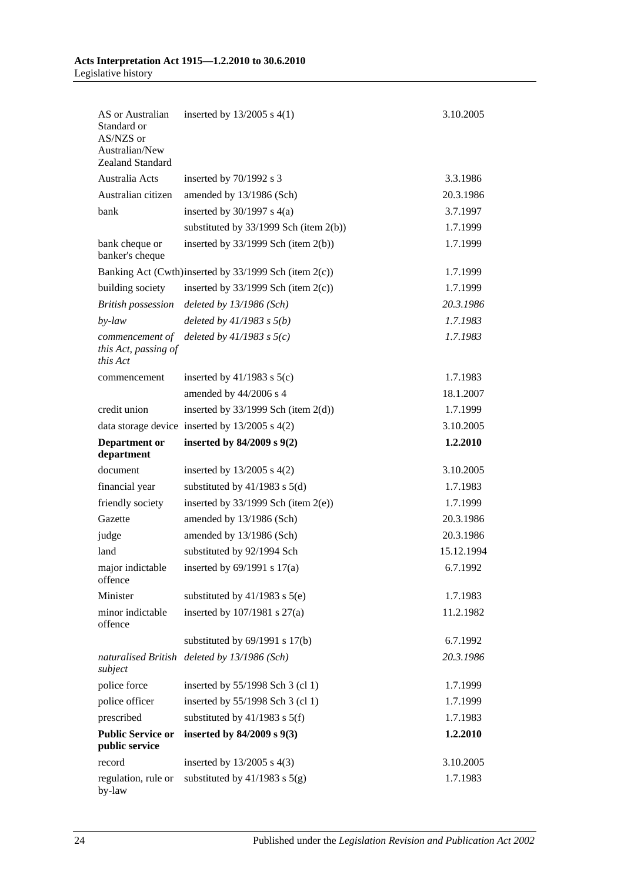#### **Acts Interpretation Act 1915—1.2.2010 to 30.6.2010** Legislative history

| AS or Australian<br>Standard or<br>AS/NZS or<br>Australian/New<br>Zealand Standard | inserted by $13/2005$ s $4(1)$                        | 3.10.2005  |
|------------------------------------------------------------------------------------|-------------------------------------------------------|------------|
| Australia Acts                                                                     | inserted by 70/1992 s 3                               | 3.3.1986   |
| Australian citizen                                                                 | amended by 13/1986 (Sch)                              | 20.3.1986  |
| bank                                                                               | inserted by $30/1997$ s $4(a)$                        | 3.7.1997   |
|                                                                                    | substituted by $33/1999$ Sch (item 2(b))              | 1.7.1999   |
| bank cheque or<br>banker's cheque                                                  | inserted by $33/1999$ Sch (item $2(b)$ )              | 1.7.1999   |
|                                                                                    | Banking Act (Cwth)inserted by 33/1999 Sch (item 2(c)) | 1.7.1999   |
| building society                                                                   | inserted by $33/1999$ Sch (item $2(c)$ )              | 1.7.1999   |
| <b>British possession</b>                                                          | deleted by $13/1986$ (Sch)                            | 20.3.1986  |
| $by$ -law                                                                          | deleted by $41/1983$ s $5(b)$                         | 1.7.1983   |
| commencement of<br>this Act, passing of<br>this Act                                | deleted by $41/1983$ s $5(c)$                         | 1.7.1983   |
| commencement                                                                       | inserted by $41/1983$ s $5(c)$                        | 1.7.1983   |
|                                                                                    | amended by 44/2006 s 4                                | 18.1.2007  |
| credit union                                                                       | inserted by $33/1999$ Sch (item $2(d)$ )              | 1.7.1999   |
|                                                                                    | data storage device inserted by $13/2005$ s $4(2)$    | 3.10.2005  |
| <b>Department</b> or<br>department                                                 | inserted by $84/2009$ s $9(2)$                        | 1.2.2010   |
| document                                                                           | inserted by $13/2005$ s $4(2)$                        | 3.10.2005  |
| financial year                                                                     | substituted by $41/1983$ s $5(d)$                     | 1.7.1983   |
| friendly society                                                                   | inserted by $33/1999$ Sch (item $2(e)$ )              | 1.7.1999   |
| Gazette                                                                            | amended by 13/1986 (Sch)                              | 20.3.1986  |
| judge                                                                              | amended by 13/1986 (Sch)                              | 20.3.1986  |
| land                                                                               | substituted by 92/1994 Sch                            | 15.12.1994 |
| major indictable<br>offence                                                        | inserted by $69/1991$ s $17(a)$                       | 6.7.1992   |
| Minister                                                                           | substituted by $41/1983$ s $5(e)$                     | 1.7.1983   |
| minor indictable<br>offence                                                        | inserted by $107/1981$ s $27(a)$                      | 11.2.1982  |
|                                                                                    | substituted by $69/1991$ s $17(b)$                    | 6.7.1992   |
| subject                                                                            | naturalised British deleted by 13/1986 (Sch)          | 20.3.1986  |
| police force                                                                       | inserted by 55/1998 Sch 3 (cl 1)                      | 1.7.1999   |
| police officer                                                                     | inserted by 55/1998 Sch 3 (cl 1)                      | 1.7.1999   |
| prescribed                                                                         | substituted by $41/1983$ s $5(f)$                     | 1.7.1983   |
| <b>Public Service or</b><br>public service                                         | inserted by 84/2009 s 9(3)                            | 1.2.2010   |
| record                                                                             | inserted by $13/2005$ s $4(3)$                        | 3.10.2005  |
| regulation, rule or<br>by-law                                                      | substituted by $41/1983$ s $5(g)$                     | 1.7.1983   |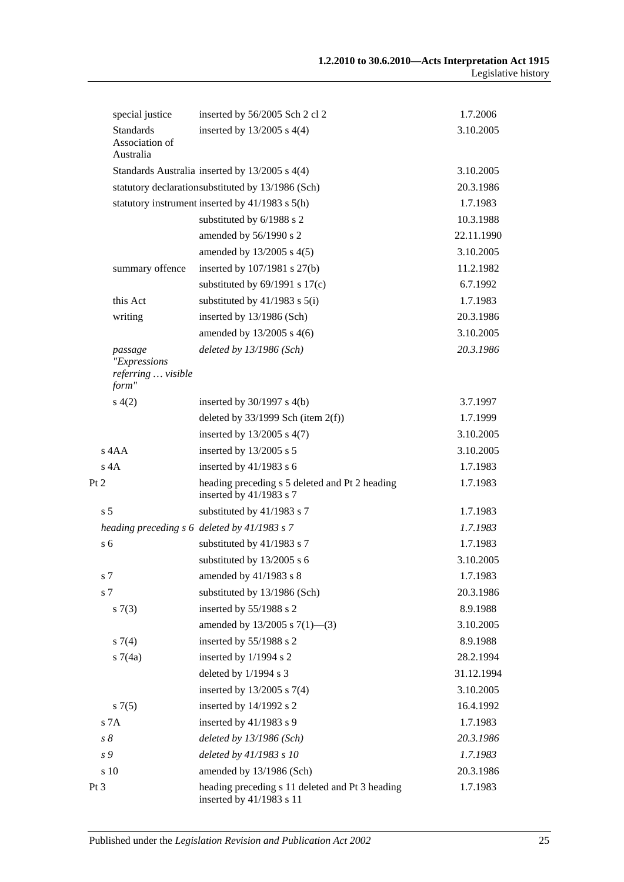|      | special justice                             | inserted by 56/2005 Sch 2 cl 2                                              | 1.7.2006   |
|------|---------------------------------------------|-----------------------------------------------------------------------------|------------|
|      | <b>Standards</b>                            | inserted by $13/2005$ s $4(4)$                                              | 3.10.2005  |
|      | Association of<br>Australia                 |                                                                             |            |
|      |                                             | Standards Australia inserted by 13/2005 s 4(4)                              | 3.10.2005  |
|      |                                             | statutory declarationsubstituted by 13/1986 (Sch)                           | 20.3.1986  |
|      |                                             | statutory instrument inserted by 41/1983 s 5(h)                             | 1.7.1983   |
|      |                                             | substituted by 6/1988 s 2                                                   | 10.3.1988  |
|      |                                             | amended by 56/1990 s 2                                                      | 22.11.1990 |
|      |                                             | amended by $13/2005$ s $4(5)$                                               | 3.10.2005  |
|      | summary offence                             | inserted by 107/1981 s 27(b)                                                | 11.2.1982  |
|      |                                             | substituted by $69/1991$ s $17(c)$                                          | 6.7.1992   |
|      | this Act                                    | substituted by $41/1983$ s $5(i)$                                           | 1.7.1983   |
|      | writing                                     | inserted by 13/1986 (Sch)                                                   | 20.3.1986  |
|      |                                             | amended by $13/2005$ s 4(6)                                                 | 3.10.2005  |
|      | passage                                     | deleted by 13/1986 (Sch)                                                    | 20.3.1986  |
|      | "Expressions<br>referring  visible<br>form" |                                                                             |            |
|      | s(4(2)                                      | inserted by $30/1997$ s $4(b)$                                              | 3.7.1997   |
|      |                                             | deleted by $33/1999$ Sch (item $2(f)$ )                                     | 1.7.1999   |
|      |                                             | inserted by 13/2005 s 4(7)                                                  | 3.10.2005  |
|      | s 4AA                                       | inserted by 13/2005 s 5                                                     | 3.10.2005  |
|      | $s$ 4A                                      | inserted by $41/1983$ s 6                                                   | 1.7.1983   |
| Pt 2 |                                             | heading preceding s 5 deleted and Pt 2 heading<br>inserted by 41/1983 s 7   | 1.7.1983   |
|      | s <sub>5</sub>                              | substituted by 41/1983 s 7                                                  | 1.7.1983   |
|      |                                             | heading preceding $s$ 6 deleted by 41/1983 $s$ 7                            | 1.7.1983   |
|      | s <sub>6</sub>                              | substituted by 41/1983 s 7                                                  | 1.7.1983   |
|      |                                             | substituted by 13/2005 s 6                                                  | 3.10.2005  |
|      | s 7                                         | amended by 41/1983 s 8                                                      | 1.7.1983   |
|      | s 7                                         | substituted by 13/1986 (Sch)                                                | 20.3.1986  |
|      | s(7(3))                                     | inserted by 55/1988 s 2                                                     | 8.9.1988   |
|      |                                             | amended by $13/2005$ s $7(1)$ —(3)                                          | 3.10.2005  |
|      | $s \, 7(4)$                                 | inserted by 55/1988 s 2                                                     | 8.9.1988   |
|      | s7(4a)                                      | inserted by 1/1994 s 2                                                      | 28.2.1994  |
|      |                                             | deleted by $1/1994$ s 3                                                     | 31.12.1994 |
|      |                                             | inserted by $13/2005$ s $7(4)$                                              | 3.10.2005  |
|      | s(7(5)                                      | inserted by 14/1992 s 2                                                     | 16.4.1992  |
|      | s 7A                                        | inserted by $41/1983$ s 9                                                   | 1.7.1983   |
|      | $s\,\delta$                                 | deleted by $13/1986$ (Sch)                                                  | 20.3.1986  |
|      | s 9                                         | deleted by 41/1983 s 10                                                     | 1.7.1983   |
|      | s 10                                        | amended by 13/1986 (Sch)                                                    | 20.3.1986  |
| Pt 3 |                                             | heading preceding s 11 deleted and Pt 3 heading<br>inserted by 41/1983 s 11 | 1.7.1983   |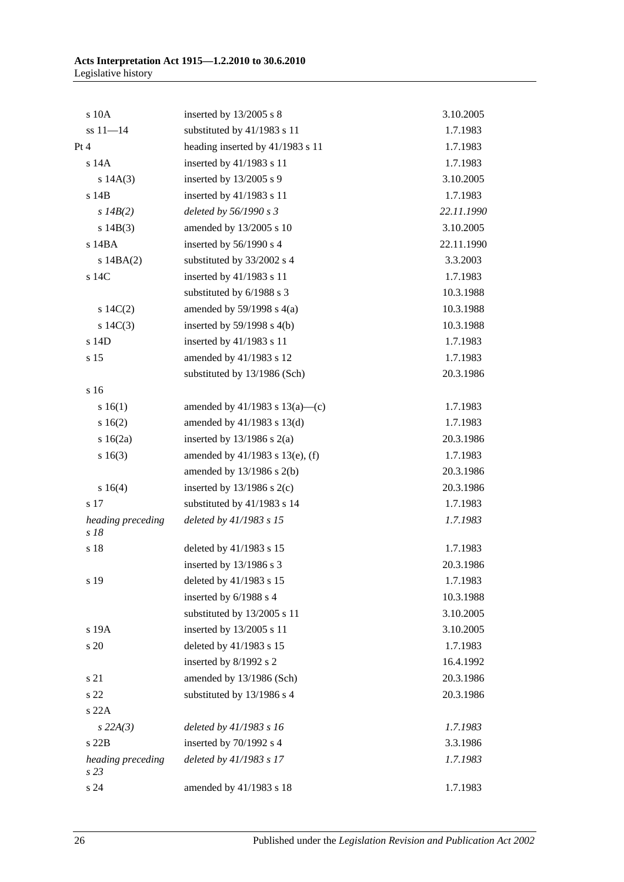| $s$ 10 $A$                | inserted by $13/2005$ s 8            | 3.10.2005  |
|---------------------------|--------------------------------------|------------|
| $ss 11 - 14$              | substituted by 41/1983 s 11          | 1.7.1983   |
| Pt 4                      | heading inserted by 41/1983 s 11     | 1.7.1983   |
| s 14A                     | inserted by 41/1983 s 11             | 1.7.1983   |
| s 14A(3)                  | inserted by $13/2005$ s 9            | 3.10.2005  |
| s 14B                     | inserted by 41/1983 s 11             | 1.7.1983   |
| s $14B(2)$                | deleted by 56/1990 s 3               | 22.11.1990 |
| s 14B(3)                  | amended by 13/2005 s 10              | 3.10.2005  |
| s 14BA                    | inserted by 56/1990 s 4              | 22.11.1990 |
| $s$ 14BA $(2)$            | substituted by 33/2002 s 4           | 3.3.2003   |
| s 14C                     | inserted by 41/1983 s 11             | 1.7.1983   |
|                           | substituted by 6/1988 s 3            | 10.3.1988  |
| 14C(2)                    | amended by $59/1998$ s $4(a)$        | 10.3.1988  |
| s $14C(3)$                | inserted by $59/1998$ s $4(b)$       | 10.3.1988  |
| s 14D                     | inserted by 41/1983 s 11             | 1.7.1983   |
| s 15                      | amended by 41/1983 s 12              | 1.7.1983   |
|                           | substituted by 13/1986 (Sch)         | 20.3.1986  |
| s 16                      |                                      |            |
| s 16(1)                   | amended by $41/1983$ s $13(a)$ —(c)  | 1.7.1983   |
| s 16(2)                   | amended by $41/1983$ s $13(d)$       | 1.7.1983   |
| $s \ 16(2a)$              | inserted by $13/1986$ s $2(a)$       | 20.3.1986  |
| s 16(3)                   | amended by $41/1983$ s $13(e)$ , (f) | 1.7.1983   |
|                           | amended by $13/1986$ s $2(b)$        | 20.3.1986  |
| s 16(4)                   | inserted by $13/1986$ s $2(c)$       | 20.3.1986  |
| s 17                      | substituted by 41/1983 s 14          | 1.7.1983   |
| heading preceding<br>s 18 | deleted by 41/1983 s 15              | 1.7.1983   |
| s 18                      | deleted by 41/1983 s 15              | 1.7.1983   |
|                           | inserted by 13/1986 s 3              | 20.3.1986  |
| s 19                      | deleted by 41/1983 s 15              | 1.7.1983   |
|                           | inserted by 6/1988 s 4               | 10.3.1988  |
|                           | substituted by 13/2005 s 11          | 3.10.2005  |
| s 19A                     | inserted by 13/2005 s 11             | 3.10.2005  |
| s 20                      | deleted by 41/1983 s 15              | 1.7.1983   |
|                           | inserted by 8/1992 s 2               | 16.4.1992  |
| s 21                      | amended by 13/1986 (Sch)             | 20.3.1986  |
| s 22                      | substituted by 13/1986 s 4           | 20.3.1986  |
| s22A                      |                                      |            |
| $s$ 22A(3)                | deleted by 41/1983 s 16              | 1.7.1983   |
| s22B                      | inserted by 70/1992 s 4              | 3.3.1986   |
| heading preceding<br>s23  | deleted by 41/1983 s 17              | 1.7.1983   |
| s 24                      | amended by 41/1983 s 18              | 1.7.1983   |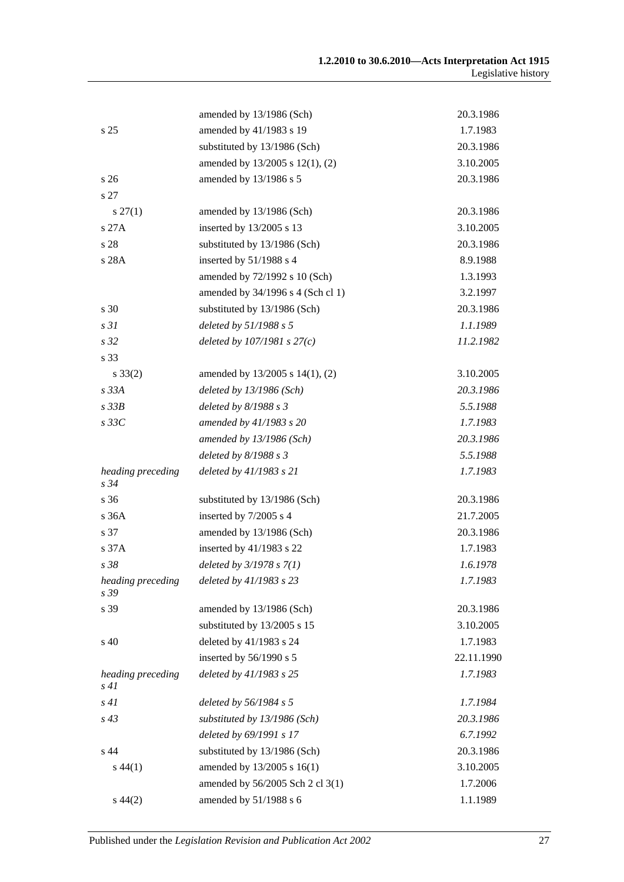|                              | amended by 13/1986 (Sch)          | 20.3.1986  |
|------------------------------|-----------------------------------|------------|
| s <sub>25</sub>              | amended by 41/1983 s 19           | 1.7.1983   |
|                              | substituted by 13/1986 (Sch)      | 20.3.1986  |
|                              | amended by 13/2005 s 12(1), (2)   | 3.10.2005  |
| s <sub>26</sub>              | amended by 13/1986 s 5            | 20.3.1986  |
| s 27                         |                                   |            |
| $s\,27(1)$                   | amended by 13/1986 (Sch)          | 20.3.1986  |
| s 27A                        | inserted by 13/2005 s 13          | 3.10.2005  |
| s 28                         | substituted by 13/1986 (Sch)      | 20.3.1986  |
| s 28A                        | inserted by 51/1988 s 4           | 8.9.1988   |
|                              | amended by 72/1992 s 10 (Sch)     | 1.3.1993   |
|                              | amended by 34/1996 s 4 (Sch cl 1) | 3.2.1997   |
| s 30                         | substituted by 13/1986 (Sch)      | 20.3.1986  |
| s <sub>31</sub>              | deleted by 51/1988 s 5            | 1.1.1989   |
| s <sub>32</sub>              | deleted by $107/1981 s 27(c)$     | 11.2.1982  |
| s 33                         |                                   |            |
| $s \, 33(2)$                 | amended by 13/2005 s 14(1), (2)   | 3.10.2005  |
| s33A                         | deleted by $13/1986$ (Sch)        | 20.3.1986  |
| $s$ 33 $B$                   | deleted by $8/1988 s 3$           | 5.5.1988   |
| $s$ 33 $C$                   | amended by 41/1983 s 20           | 1.7.1983   |
|                              | amended by 13/1986 (Sch)          | 20.3.1986  |
|                              | deleted by $8/1988 s 3$           | 5.5.1988   |
| heading preceding<br>$s\,34$ | deleted by 41/1983 s 21           | 1.7.1983   |
| s 36                         | substituted by 13/1986 (Sch)      | 20.3.1986  |
| s 36A                        | inserted by 7/2005 s 4            | 21.7.2005  |
| s 37                         | amended by 13/1986 (Sch)          | 20.3.1986  |
| s 37A                        | inserted by 41/1983 s 22          | 1.7.1983   |
| s 38                         | deleted by $3/1978 s 7(1)$        | 1.6.1978   |
| heading preceding<br>s 39    | deleted by 41/1983 s 23           | 1.7.1983   |
| s 39                         | amended by 13/1986 (Sch)          | 20.3.1986  |
|                              | substituted by 13/2005 s 15       | 3.10.2005  |
| s 40                         | deleted by 41/1983 s 24           | 1.7.1983   |
|                              | inserted by 56/1990 s 5           | 22.11.1990 |
| heading preceding<br>s 41    | deleted by 41/1983 s 25           | 1.7.1983   |
| s41                          | deleted by 56/1984 s 5            | 1.7.1984   |
| $s\,43$                      | substituted by 13/1986 (Sch)      | 20.3.1986  |
|                              | deleted by 69/1991 s 17           | 6.7.1992   |
| s 44                         | substituted by 13/1986 (Sch)      | 20.3.1986  |
| $s\,44(1)$                   | amended by 13/2005 s 16(1)        | 3.10.2005  |
|                              | amended by 56/2005 Sch 2 cl 3(1)  | 1.7.2006   |
| $s\,44(2)$                   | amended by 51/1988 s 6            | 1.1.1989   |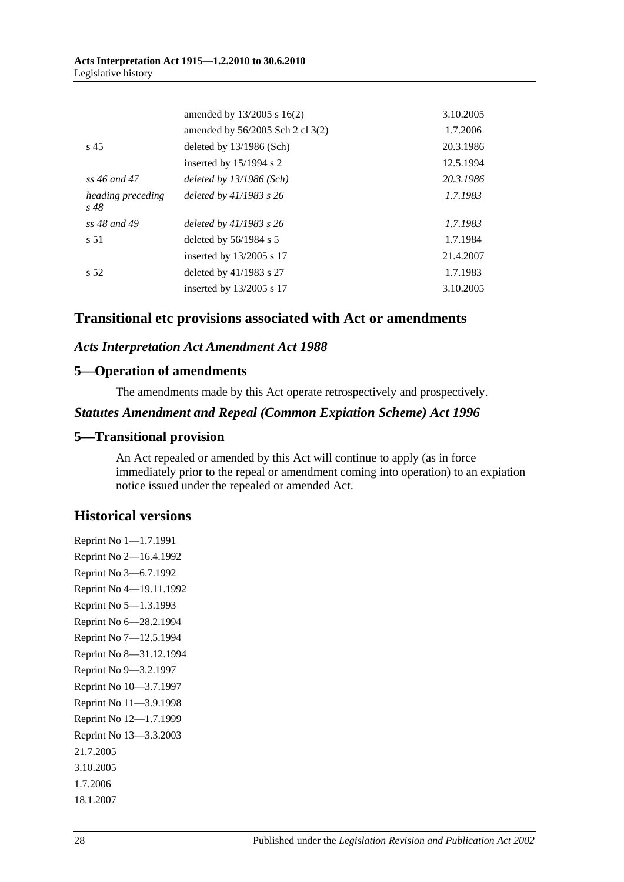#### **Acts Interpretation Act 1915—1.2.2010 to 30.6.2010** Legislative history

|                              | amended by $13/2005$ s $16(2)$   | 3.10.2005 |
|------------------------------|----------------------------------|-----------|
|                              | amended by 56/2005 Sch 2 cl 3(2) | 1.7.2006  |
| s <sub>45</sub>              | deleted by 13/1986 (Sch)         | 20.3.1986 |
|                              | inserted by $15/1994$ s 2        | 12.5.1994 |
| ss 46 and 47                 | deleted by $13/1986$ (Sch)       | 20.3.1986 |
| heading preceding<br>$s\,48$ | deleted by $41/1983$ s $26$      | 1.7.1983  |
| ss 48 and 49                 | deleted by $41/1983$ s $26$      | 1.7.1983  |
| s 51                         | deleted by $56/1984$ s 5         | 1.7.1984  |
|                              | inserted by 13/2005 s 17         | 21.4.2007 |
| s <sub>52</sub>              | deleted by $41/1983$ s 27        | 1.7.1983  |
|                              | inserted by $13/2005$ s 17       | 3.10.2005 |

### **Transitional etc provisions associated with Act or amendments**

#### *Acts Interpretation Act Amendment Act 1988*

#### **5—Operation of amendments**

The amendments made by this Act operate retrospectively and prospectively.

#### *Statutes Amendment and Repeal (Common Expiation Scheme) Act 1996*

#### **5—Transitional provision**

An Act repealed or amended by this Act will continue to apply (as in force immediately prior to the repeal or amendment coming into operation) to an expiation notice issued under the repealed or amended Act.

### **Historical versions**

Reprint No 1—1.7.1991 Reprint No 2—16.4.1992 Reprint No 3—6.7.1992 Reprint No 4—19.11.1992 Reprint No 5—1.3.1993 Reprint No 6—28.2.1994 Reprint No 7—12.5.1994 Reprint No 8—31.12.1994 Reprint No 9—3.2.1997 Reprint No 10—3.7.1997 Reprint No 11—3.9.1998 Reprint No 12—1.7.1999 Reprint No 13—3.3.2003 21.7.2005 3.10.2005 1.7.2006 18.1.2007